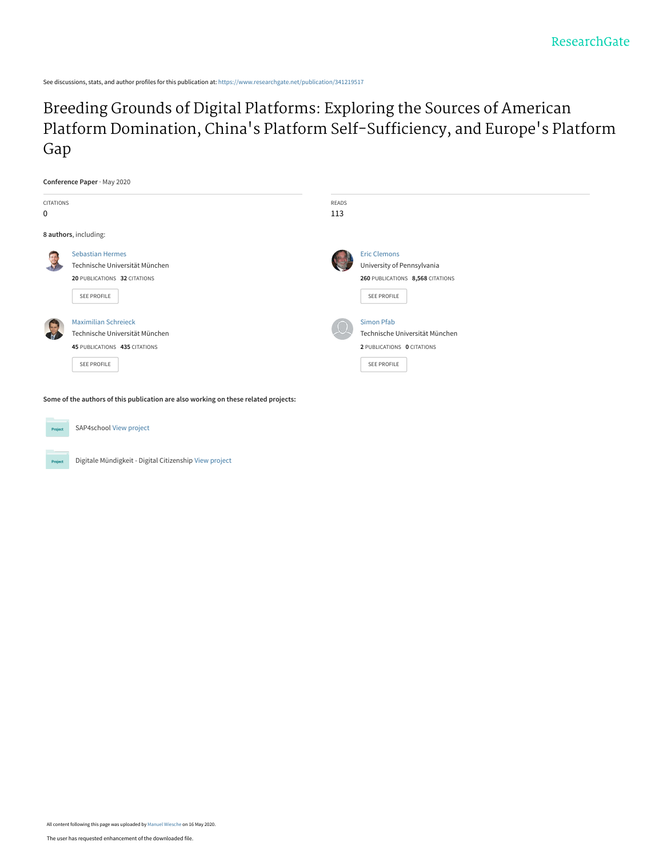See discussions, stats, and author profiles for this publication at: [https://www.researchgate.net/publication/341219517](https://www.researchgate.net/publication/341219517_Breeding_Grounds_of_Digital_Platforms_Exploring_the_Sources_of_American_Platform_Domination_China%27s_Platform_Self-Sufficiency_and_Europe%27s_Platform_Gap?enrichId=rgreq-c0c0dcce814aa22309690dedf47500c2-XXX&enrichSource=Y292ZXJQYWdlOzM0MTIxOTUxNztBUzo4OTE5NTM4Njg3MTgwODVAMTU4OTY2OTc4MjE2NA%3D%3D&el=1_x_2&_esc=publicationCoverPdf)

[Breeding Grounds of Digital Platforms: Exploring the Sources of American](https://www.researchgate.net/publication/341219517_Breeding_Grounds_of_Digital_Platforms_Exploring_the_Sources_of_American_Platform_Domination_China%27s_Platform_Self-Sufficiency_and_Europe%27s_Platform_Gap?enrichId=rgreq-c0c0dcce814aa22309690dedf47500c2-XXX&enrichSource=Y292ZXJQYWdlOzM0MTIxOTUxNztBUzo4OTE5NTM4Njg3MTgwODVAMTU4OTY2OTc4MjE2NA%3D%3D&el=1_x_3&_esc=publicationCoverPdf) Platform Domination, China's Platform Self-Sufficiency, and Europe's Platform Gap

|                         | Conference Paper · May 2020                               |              |                                                   |
|-------------------------|-----------------------------------------------------------|--------------|---------------------------------------------------|
| <b>CITATIONS</b>        |                                                           | <b>READS</b> |                                                   |
| $\mathbf 0$             |                                                           | 113          |                                                   |
|                         | 8 authors, including:                                     |              |                                                   |
| $\overline{\mathbf{e}}$ | <b>Sebastian Hermes</b><br>Technische Universität München |              | <b>Eric Clemons</b><br>University of Pennsylvania |
|                         | 20 PUBLICATIONS 32 CITATIONS                              |              | 260 PUBLICATIONS 8,568 CITATIONS                  |
|                         | SEE PROFILE                                               |              | SEE PROFILE                                       |
|                         | <b>Maximilian Schreieck</b>                               |              | <b>Simon Pfab</b>                                 |
|                         | Technische Universität München                            |              | Technische Universität München                    |
|                         | 45 PUBLICATIONS 435 CITATIONS                             |              | 2 PUBLICATIONS 0 CITATIONS                        |
|                         | SEE PROFILE                                               |              | SEE PROFILE                                       |
|                         |                                                           |              |                                                   |

**Some of the authors of this publication are also working on these related projects:**



SAP4school [View project](https://www.researchgate.net/project/SAP4school?enrichId=rgreq-c0c0dcce814aa22309690dedf47500c2-XXX&enrichSource=Y292ZXJQYWdlOzM0MTIxOTUxNztBUzo4OTE5NTM4Njg3MTgwODVAMTU4OTY2OTc4MjE2NA%3D%3D&el=1_x_9&_esc=publicationCoverPdf)



Digitale Mündigkeit - Digital Citizenship [View project](https://www.researchgate.net/project/Digitale-Muendigkeit-Digital-Citizenship-2?enrichId=rgreq-c0c0dcce814aa22309690dedf47500c2-XXX&enrichSource=Y292ZXJQYWdlOzM0MTIxOTUxNztBUzo4OTE5NTM4Njg3MTgwODVAMTU4OTY2OTc4MjE2NA%3D%3D&el=1_x_9&_esc=publicationCoverPdf)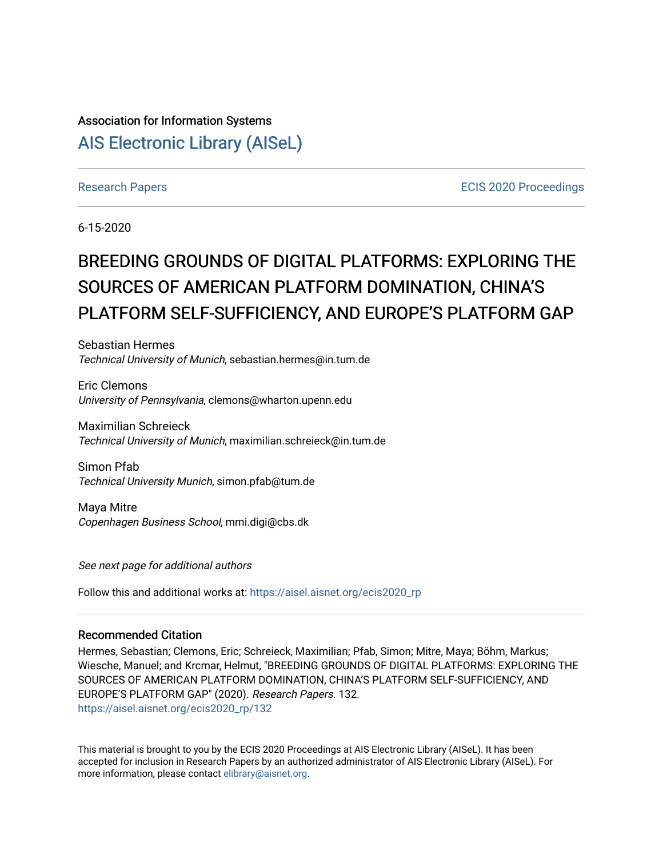# Association for Information Systems [AIS Electronic Library \(AISeL\)](https://aisel.aisnet.org/)

[Research Papers](https://aisel.aisnet.org/ecis2020_rp) **ECIS** 2020 Proceedings

6-15-2020

# BREEDING GROUNDS OF DIGITAL PLATFORMS: EXPLORING THE SOURCES OF AMERICAN PLATFORM DOMINATION, CHINA'S PLATFORM SELF-SUFFICIENCY, AND EUROPE'S PLATFORM GAP

Sebastian Hermes Technical University of Munich, sebastian.hermes@in.tum.de

Eric Clemons University of Pennsylvania, clemons@wharton.upenn.edu

Maximilian Schreieck Technical University of Munich, maximilian.schreieck@in.tum.de

Simon Pfab Technical University Munich, simon.pfab@tum.de

Maya Mitre Copenhagen Business School, mmi.digi@cbs.dk

See next page for additional authors

Follow this and additional works at: [https://aisel.aisnet.org/ecis2020\\_rp](https://aisel.aisnet.org/ecis2020_rp?utm_source=aisel.aisnet.org%2Fecis2020_rp%2F132&utm_medium=PDF&utm_campaign=PDFCoverPages)

#### Recommended Citation

Hermes, Sebastian; Clemons, Eric; Schreieck, Maximilian; Pfab, Simon; Mitre, Maya; Böhm, Markus; Wiesche, Manuel; and Krcmar, Helmut, "BREEDING GROUNDS OF DIGITAL PLATFORMS: EXPLORING THE SOURCES OF AMERICAN PLATFORM DOMINATION, CHINA'S PLATFORM SELF-SUFFICIENCY, AND EUROPE'S PLATFORM GAP" (2020). Research Papers. 132. [https://aisel.aisnet.org/ecis2020\\_rp/132](https://aisel.aisnet.org/ecis2020_rp/132?utm_source=aisel.aisnet.org%2Fecis2020_rp%2F132&utm_medium=PDF&utm_campaign=PDFCoverPages)

This material is brought to you by the ECIS 2020 Proceedings at AIS Electronic Library (AISeL). It has been accepted for inclusion in Research Papers by an authorized administrator of AIS Electronic Library (AISeL). For more information, please contact [elibrary@aisnet.org.](mailto:elibrary@aisnet.org%3E)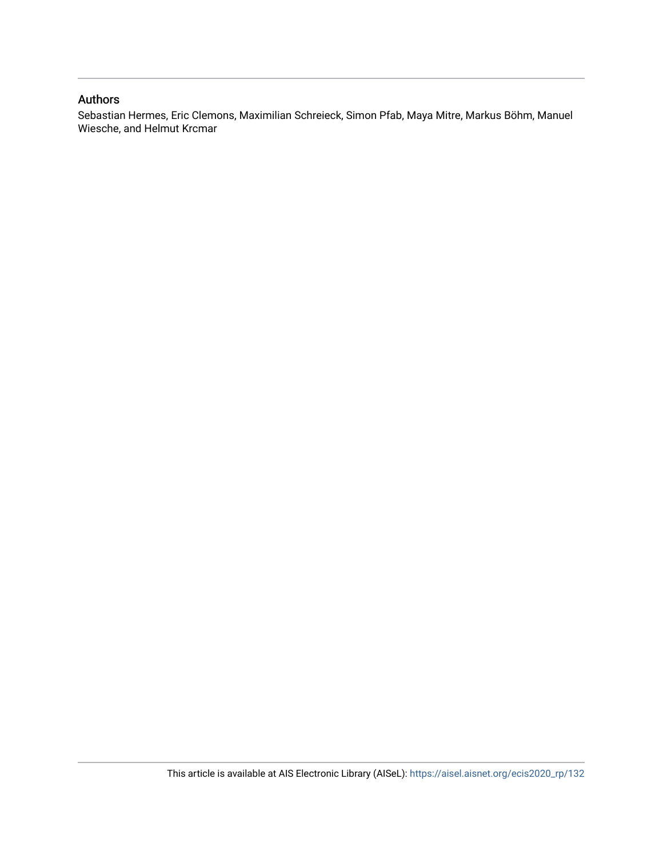#### Authors

Sebastian Hermes, Eric Clemons, Maximilian Schreieck, Simon Pfab, Maya Mitre, Markus Böhm, Manuel Wiesche, and Helmut Krcmar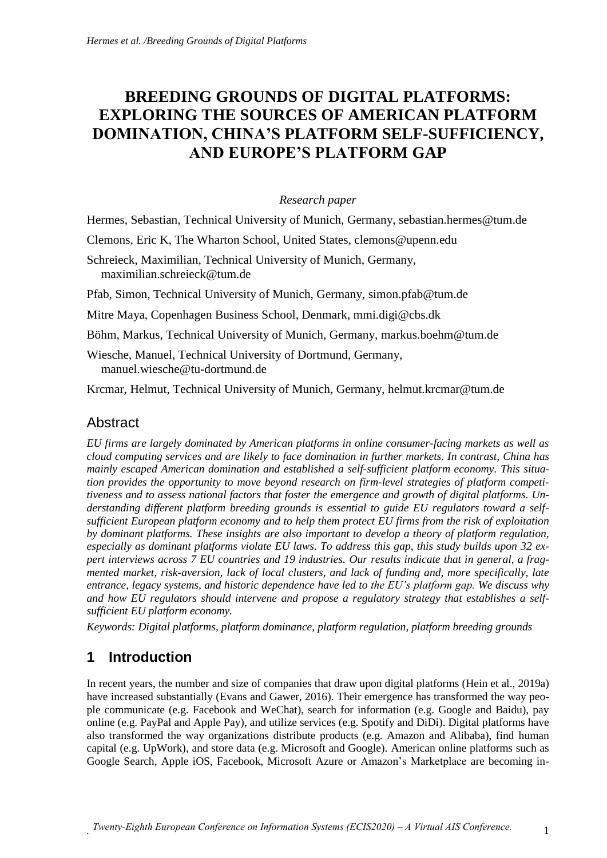# **BREEDING GROUNDS OF DIGITAL PLATFORMS: EXPLORING THE SOURCES OF AMERICAN PLATFORM DOMINATION, CHINA'S PLATFORM SELF-SUFFICIENCY, AND EUROPE'S PLATFORM GAP**

#### *Research paper*

Hermes, Sebastian, Technical University of Munich, Germany, sebastian.hermes@tum.de

Clemons, Eric K, The Wharton School, United States, clemons@upenn.edu

Schreieck, Maximilian, Technical University of Munich, Germany, maximilian.schreieck@tum.de

Pfab, Simon, Technical University of Munich, Germany, simon.pfab@tum.de

Mitre Maya, Copenhagen Business School, Denmark, mmi.digi@cbs.dk

Böhm, Markus, Technical University of Munich, Germany, markus.boehm@tum.de

Wiesche, Manuel, Technical University of Dortmund, Germany, manuel.wiesche@tu-dortmund.de

Krcmar, Helmut, Technical University of Munich, Germany, helmut.krcmar@tum.de

#### **Abstract**

*EU firms are largely dominated by American platforms in online consumer-facing markets as well as cloud computing services and are likely to face domination in further markets. In contrast, China has mainly escaped American domination and established a self-sufficient platform economy. This situation provides the opportunity to move beyond research on firm-level strategies of platform competitiveness and to assess national factors that foster the emergence and growth of digital platforms. Understanding different platform breeding grounds is essential to guide EU regulators toward a selfsufficient European platform economy and to help them protect EU firms from the risk of exploitation by dominant platforms. These insights are also important to develop a theory of platform regulation, especially as dominant platforms violate EU laws. To address this gap, this study builds upon 32 expert interviews across 7 EU countries and 19 industries. Our results indicate that in general, a fragmented market, risk-aversion, lack of local clusters, and lack of funding and, more specifically, late entrance, legacy systems, and historic dependence have led to the EU's platform gap. We discuss why and how EU regulators should intervene and propose a regulatory strategy that establishes a selfsufficient EU platform economy.*

*Keywords: Digital platforms, platform dominance, platform regulation, platform breeding grounds*

# **1 Introduction**

In recent years, the number and size of companies that draw upon digital platforms (Hein et al., 2019a) have increased substantially (Evans and Gawer, 2016). Their emergence has transformed the way people communicate (e.g. Facebook and WeChat), search for information (e.g. Google and Baidu), pay online (e.g. PayPal and Apple Pay), and utilize services (e.g. Spotify and DiDi). Digital platforms have also transformed the way organizations distribute products (e.g. Amazon and Alibaba), find human capital (e.g. UpWork), and store data (e.g. Microsoft and Google). American online platforms such as Google Search, Apple iOS, Facebook, Microsoft Azure or Amazon's Marketplace are becoming in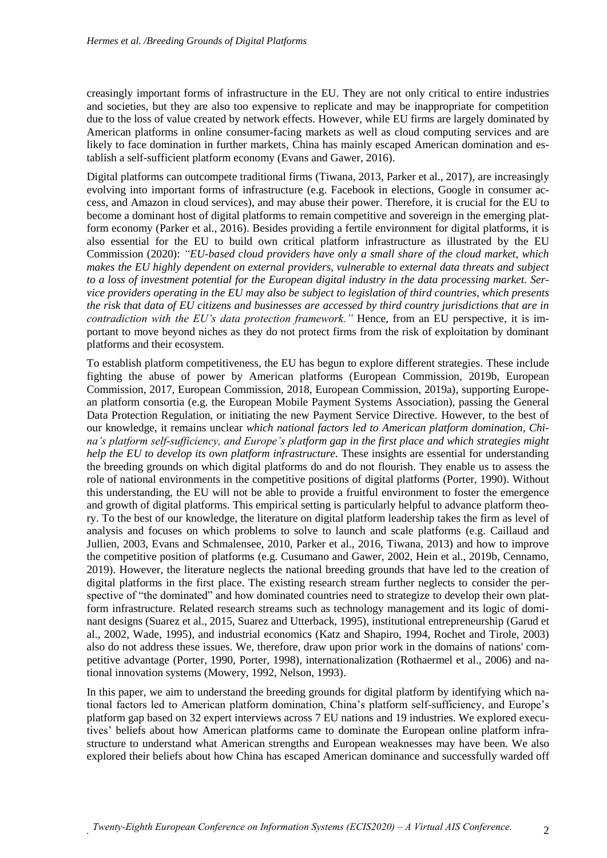creasingly important forms of infrastructure in the EU. They are not only critical to entire industries and societies, but they are also too expensive to replicate and may be inappropriate for competition due to the loss of value created by network effects. However, while EU firms are largely dominated by American platforms in online consumer-facing markets as well as cloud computing services and are likely to face domination in further markets, China has mainly escaped American domination and establish a self-sufficient platform economy (Evans and Gawer, 2016).

Digital platforms can outcompete traditional firms (Tiwana, 2013, Parker et al., 2017), are increasingly evolving into important forms of infrastructure (e.g. Facebook in elections, Google in consumer access, and Amazon in cloud services), and may abuse their power. Therefore, it is crucial for the EU to become a dominant host of digital platforms to remain competitive and sovereign in the emerging platform economy (Parker et al., 2016). Besides providing a fertile environment for digital platforms, it is also essential for the EU to build own critical platform infrastructure as illustrated by the EU Commission (2020): *"EU-based cloud providers have only a small share of the cloud market, which makes the EU highly dependent on external providers, vulnerable to external data threats and subject to a loss of investment potential for the European digital industry in the data processing market. Service providers operating in the EU may also be subject to legislation of third countries, which presents the risk that data of EU citizens and businesses are accessed by third country jurisdictions that are in contradiction with the EU's data protection framework.*" Hence, from an EU perspective, it is important to move beyond niches as they do not protect firms from the risk of exploitation by dominant platforms and their ecosystem.

To establish platform competitiveness, the EU has begun to explore different strategies. These include fighting the abuse of power by American platforms (European Commission, 2019b, European Commission, 2017, European Commission, 2018, European Commission, 2019a), supporting European platform consortia (e.g. the European Mobile Payment Systems Association), passing the General Data Protection Regulation, or initiating the new Payment Service Directive. However, to the best of our knowledge, it remains unclear *which national factors led to American platform domination, China's platform self-sufficiency, and Europe's platform gap in the first place and which strategies might help the EU to develop its own platform infrastructure.* These insights are essential for understanding the breeding grounds on which digital platforms do and do not flourish. They enable us to assess the role of national environments in the competitive positions of digital platforms (Porter, 1990). Without this understanding, the EU will not be able to provide a fruitful environment to foster the emergence and growth of digital platforms. This empirical setting is particularly helpful to advance platform theory. To the best of our knowledge, the literature on digital platform leadership takes the firm as level of analysis and focuses on which problems to solve to launch and scale platforms (e.g. Caillaud and Jullien, 2003, Evans and Schmalensee, 2010, Parker et al., 2016, Tiwana, 2013) and how to improve the competitive position of platforms (e.g. Cusumano and Gawer, 2002, Hein et al., 2019b, Cennamo, 2019). However, the literature neglects the national breeding grounds that have led to the creation of digital platforms in the first place. The existing research stream further neglects to consider the perspective of "the dominated" and how dominated countries need to strategize to develop their own platform infrastructure. Related research streams such as technology management and its logic of dominant designs (Suarez et al., 2015, Suarez and Utterback, 1995), institutional entrepreneurship (Garud et al., 2002, Wade, 1995), and industrial economics (Katz and Shapiro, 1994, Rochet and Tirole, 2003) also do not address these issues. We, therefore, draw upon prior work in the domains of nations' competitive advantage (Porter, 1990, Porter, 1998), internationalization (Rothaermel et al., 2006) and national innovation systems (Mowery, 1992, Nelson, 1993).

In this paper, we aim to understand the breeding grounds for digital platform by identifying which national factors led to American platform domination, China's platform self-sufficiency, and Europe's platform gap based on 32 expert interviews across 7 EU nations and 19 industries. We explored executives' beliefs about how American platforms came to dominate the European online platform infrastructure to understand what American strengths and European weaknesses may have been. We also explored their beliefs about how China has escaped American dominance and successfully warded off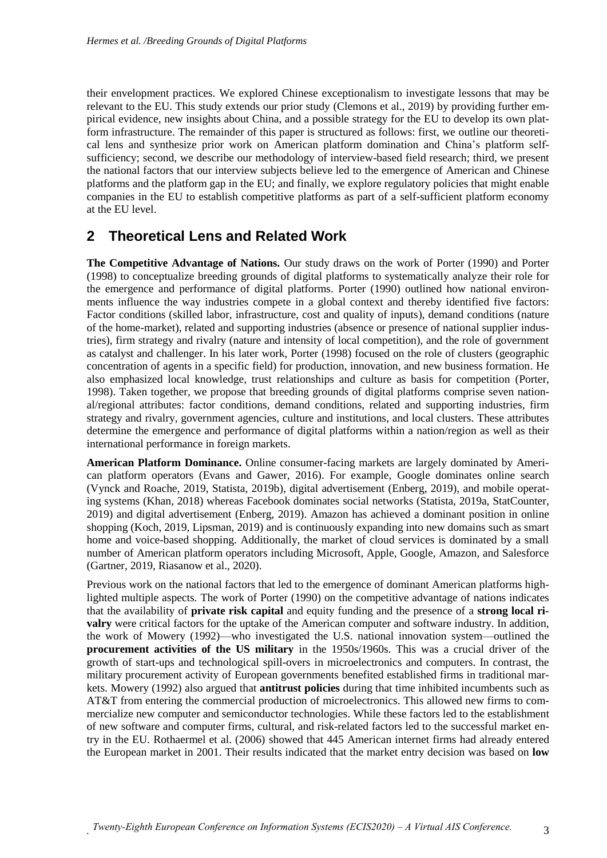their envelopment practices. We explored Chinese exceptionalism to investigate lessons that may be relevant to the EU. This study extends our prior study (Clemons et al., 2019) by providing further empirical evidence, new insights about China, and a possible strategy for the EU to develop its own platform infrastructure. The remainder of this paper is structured as follows: first, we outline our theoretical lens and synthesize prior work on American platform domination and China's platform selfsufficiency; second, we describe our methodology of interview-based field research; third, we present the national factors that our interview subjects believe led to the emergence of American and Chinese platforms and the platform gap in the EU; and finally, we explore regulatory policies that might enable companies in the EU to establish competitive platforms as part of a self-sufficient platform economy at the EU level.

## **2 Theoretical Lens and Related Work**

**The Competitive Advantage of Nations.** Our study draws on the work of Porter (1990) and Porter (1998) to conceptualize breeding grounds of digital platforms to systematically analyze their role for the emergence and performance of digital platforms. Porter (1990) outlined how national environments influence the way industries compete in a global context and thereby identified five factors: Factor conditions (skilled labor, infrastructure, cost and quality of inputs), demand conditions (nature of the home-market), related and supporting industries (absence or presence of national supplier industries), firm strategy and rivalry (nature and intensity of local competition), and the role of government as catalyst and challenger. In his later work, Porter (1998) focused on the role of clusters (geographic concentration of agents in a specific field) for production, innovation, and new business formation. He also emphasized local knowledge, trust relationships and culture as basis for competition (Porter, 1998). Taken together, we propose that breeding grounds of digital platforms comprise seven national/regional attributes: factor conditions, demand conditions, related and supporting industries, firm strategy and rivalry, government agencies, culture and institutions, and local clusters. These attributes determine the emergence and performance of digital platforms within a nation/region as well as their international performance in foreign markets.

**American Platform Dominance.** Online consumer-facing markets are largely dominated by American platform operators (Evans and Gawer, 2016). For example, Google dominates online search (Vynck and Roache, 2019, Statista, 2019b), digital advertisement (Enberg, 2019), and mobile operating systems (Khan, 2018) whereas Facebook dominates social networks (Statista, 2019a, StatCounter, 2019) and digital advertisement (Enberg, 2019). Amazon has achieved a dominant position in online shopping (Koch, 2019, Lipsman, 2019) and is continuously expanding into new domains such as smart home and voice-based shopping. Additionally, the market of cloud services is dominated by a small number of American platform operators including Microsoft, Apple, Google, Amazon, and Salesforce (Gartner, 2019, Riasanow et al., 2020).

Previous work on the national factors that led to the emergence of dominant American platforms highlighted multiple aspects. The work of Porter (1990) on the competitive advantage of nations indicates that the availability of **private risk capital** and equity funding and the presence of a **strong local rivalry** were critical factors for the uptake of the American computer and software industry. In addition, the work of Mowery (1992)—who investigated the U.S. national innovation system—outlined the **procurement activities of the US military** in the 1950s/1960s. This was a crucial driver of the growth of start-ups and technological spill-overs in microelectronics and computers. In contrast, the military procurement activity of European governments benefited established firms in traditional markets. Mowery (1992) also argued that **antitrust policies** during that time inhibited incumbents such as AT&T from entering the commercial production of microelectronics. This allowed new firms to commercialize new computer and semiconductor technologies. While these factors led to the establishment of new software and computer firms, cultural, and risk-related factors led to the successful market entry in the EU. Rothaermel et al. (2006) showed that 445 American internet firms had already entered the European market in 2001. Their results indicated that the market entry decision was based on **low**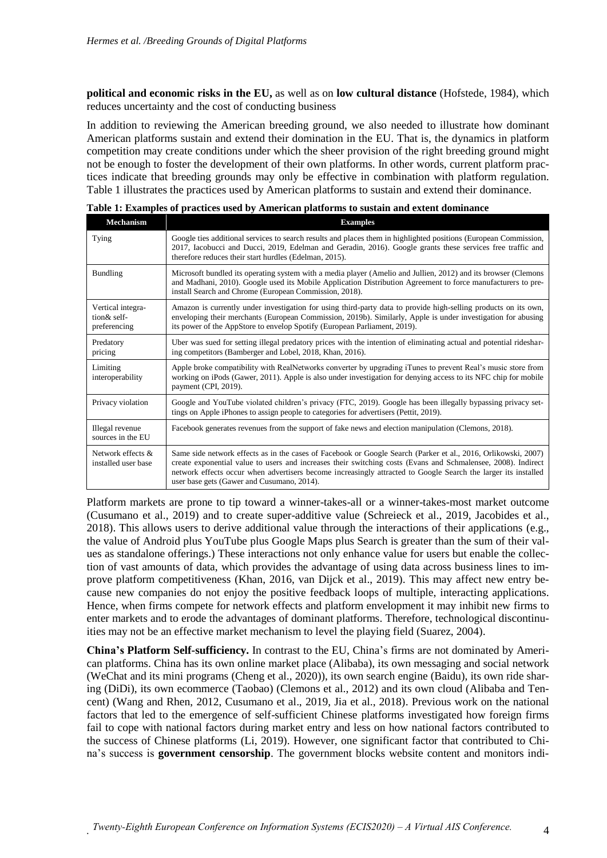**political and economic risks in the EU,** as well as on **low cultural distance** (Hofstede, 1984), which reduces uncertainty and the cost of conducting business

In addition to reviewing the American breeding ground, we also needed to illustrate how dominant American platforms sustain and extend their domination in the EU. That is, the dynamics in platform competition may create conditions under which the sheer provision of the right breeding ground might not be enough to foster the development of their own platforms. In other words, current platform practices indicate that breeding grounds may only be effective in combination with platform regulation. Table 1 illustrates the practices used by American platforms to sustain and extend their dominance.

| <b>Mechanism</b>                                 | <b>Examples</b>                                                                                                                                                                                                                                                                                                                                                                                 |
|--------------------------------------------------|-------------------------------------------------------------------------------------------------------------------------------------------------------------------------------------------------------------------------------------------------------------------------------------------------------------------------------------------------------------------------------------------------|
| Tying                                            | Google ties additional services to search results and places them in highlighted positions (European Commission,<br>2017, Iacobucci and Ducci, 2019, Edelman and Geradin, 2016). Google grants these services free traffic and<br>therefore reduces their start hurdles (Edelman, 2015).                                                                                                        |
| <b>Bundling</b>                                  | Microsoft bundled its operating system with a media player (Amelio and Jullien, 2012) and its browser (Clemons<br>and Madhani, 2010). Google used its Mobile Application Distribution Agreement to force manufacturers to pre-<br>install Search and Chrome (European Commission, 2018).                                                                                                        |
| Vertical integra-<br>tion& self-<br>preferencing | Amazon is currently under investigation for using third-party data to provide high-selling products on its own,<br>enveloping their merchants (European Commission, 2019b). Similarly, Apple is under investigation for abusing<br>its power of the AppStore to envelop Spotify (European Parliament, 2019).                                                                                    |
| Predatory<br>pricing                             | Uber was sued for setting illegal predatory prices with the intention of eliminating actual and potential rideshar-<br>ing competitors (Bamberger and Lobel, 2018, Khan, 2016).                                                                                                                                                                                                                 |
| Limiting<br>interoperability                     | Apple broke compatibility with RealNetworks converter by upgrading iTunes to prevent Real's music store from<br>working on iPods (Gawer, 2011). Apple is also under investigation for denying access to its NFC chip for mobile<br>payment (CPI, 2019).                                                                                                                                         |
| Privacy violation                                | Google and YouTube violated children's privacy (FTC, 2019). Google has been illegally bypassing privacy set-<br>tings on Apple iPhones to assign people to categories for advertisers (Pettit, 2019).                                                                                                                                                                                           |
| Illegal revenue<br>sources in the EU             | Facebook generates revenues from the support of fake news and election manipulation (Clemons, 2018).                                                                                                                                                                                                                                                                                            |
| Network effects &<br>installed user base         | Same side network effects as in the cases of Facebook or Google Search (Parker et al., 2016, Orlikowski, 2007)<br>create exponential value to users and increases their switching costs (Evans and Schmalensee, 2008). Indirect<br>network effects occur when advertisers become increasingly attracted to Google Search the larger its installed<br>user base gets (Gawer and Cusumano, 2014). |

**Table 1: Examples of practices used by American platforms to sustain and extent dominance**

Platform markets are prone to tip toward a winner-takes-all or a winner-takes-most market outcome (Cusumano et al., 2019) and to create super-additive value (Schreieck et al., 2019, Jacobides et al., 2018). This allows users to derive additional value through the interactions of their applications (e.g., the value of Android plus YouTube plus Google Maps plus Search is greater than the sum of their values as standalone offerings.) These interactions not only enhance value for users but enable the collection of vast amounts of data, which provides the advantage of using data across business lines to improve platform competitiveness (Khan, 2016, van Dijck et al., 2019). This may affect new entry because new companies do not enjoy the positive feedback loops of multiple, interacting applications. Hence, when firms compete for network effects and platform envelopment it may inhibit new firms to enter markets and to erode the advantages of dominant platforms. Therefore, technological discontinuities may not be an effective market mechanism to level the playing field (Suarez, 2004).

**China's Platform Self-sufficiency.** In contrast to the EU, China's firms are not dominated by American platforms. China has its own online market place (Alibaba), its own messaging and social network (WeChat and its mini programs (Cheng et al., 2020)), its own search engine (Baidu), its own ride sharing (DiDi), its own ecommerce (Taobao) (Clemons et al., 2012) and its own cloud (Alibaba and Tencent) (Wang and Rhen, 2012, Cusumano et al., 2019, Jia et al., 2018). Previous work on the national factors that led to the emergence of self-sufficient Chinese platforms investigated how foreign firms fail to cope with national factors during market entry and less on how national factors contributed to the success of Chinese platforms (Li, 2019). However, one significant factor that contributed to China's success is **government censorship**. The government blocks website content and monitors indi-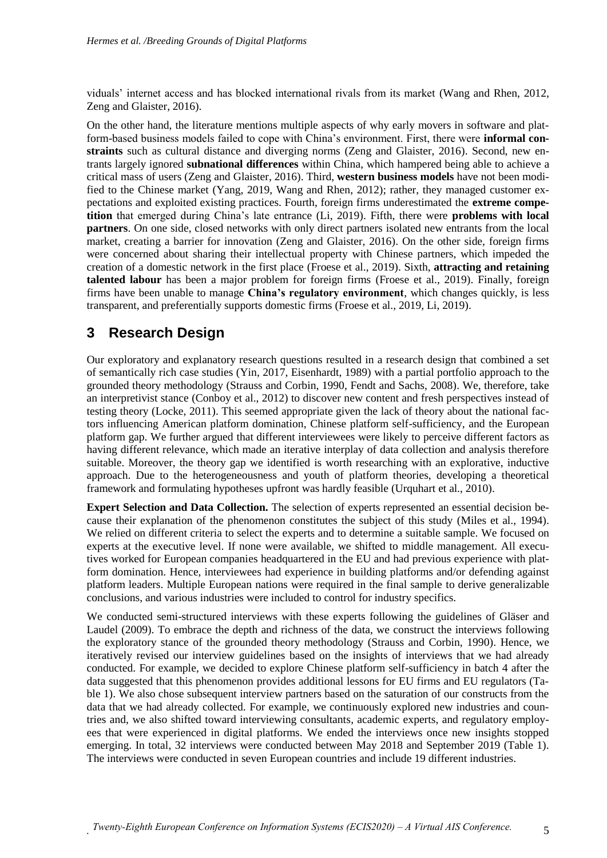viduals' internet access and has blocked international rivals from its market (Wang and Rhen, 2012, Zeng and Glaister, 2016).

On the other hand, the literature mentions multiple aspects of why early movers in software and platform-based business models failed to cope with China's environment. First, there were **informal constraints** such as cultural distance and diverging norms (Zeng and Glaister, 2016). Second, new entrants largely ignored **subnational differences** within China, which hampered being able to achieve a critical mass of users (Zeng and Glaister, 2016). Third, **western business models** have not been modified to the Chinese market (Yang, 2019, Wang and Rhen, 2012); rather, they managed customer expectations and exploited existing practices. Fourth, foreign firms underestimated the **extreme competition** that emerged during China's late entrance (Li, 2019). Fifth, there were **problems with local partners**. On one side, closed networks with only direct partners isolated new entrants from the local market, creating a barrier for innovation (Zeng and Glaister, 2016). On the other side, foreign firms were concerned about sharing their intellectual property with Chinese partners, which impeded the creation of a domestic network in the first place (Froese et al., 2019). Sixth, **attracting and retaining talented labour** has been a major problem for foreign firms (Froese et al., 2019). Finally, foreign firms have been unable to manage **China's regulatory environment**, which changes quickly, is less transparent, and preferentially supports domestic firms (Froese et al., 2019, Li, 2019).

# **3 Research Design**

Our exploratory and explanatory research questions resulted in a research design that combined a set of semantically rich case studies (Yin, 2017, Eisenhardt, 1989) with a partial portfolio approach to the grounded theory methodology (Strauss and Corbin, 1990, Fendt and Sachs, 2008). We, therefore, take an interpretivist stance (Conboy et al., 2012) to discover new content and fresh perspectives instead of testing theory (Locke, 2011). This seemed appropriate given the lack of theory about the national factors influencing American platform domination, Chinese platform self-sufficiency, and the European platform gap. We further argued that different interviewees were likely to perceive different factors as having different relevance, which made an iterative interplay of data collection and analysis therefore suitable. Moreover, the theory gap we identified is worth researching with an explorative, inductive approach. Due to the heterogeneousness and youth of platform theories, developing a theoretical framework and formulating hypotheses upfront was hardly feasible (Urquhart et al., 2010).

**Expert Selection and Data Collection.** The selection of experts represented an essential decision because their explanation of the phenomenon constitutes the subject of this study (Miles et al., 1994). We relied on different criteria to select the experts and to determine a suitable sample. We focused on experts at the executive level. If none were available, we shifted to middle management. All executives worked for European companies headquartered in the EU and had previous experience with platform domination. Hence, interviewees had experience in building platforms and/or defending against platform leaders. Multiple European nations were required in the final sample to derive generalizable conclusions, and various industries were included to control for industry specifics.

We conducted semi-structured interviews with these experts following the guidelines of Gläser and Laudel (2009). To embrace the depth and richness of the data, we construct the interviews following the exploratory stance of the grounded theory methodology (Strauss and Corbin, 1990). Hence, we iteratively revised our interview guidelines based on the insights of interviews that we had already conducted. For example, we decided to explore Chinese platform self-sufficiency in batch 4 after the data suggested that this phenomenon provides additional lessons for EU firms and EU regulators (Table 1). We also chose subsequent interview partners based on the saturation of our constructs from the data that we had already collected. For example, we continuously explored new industries and countries and, we also shifted toward interviewing consultants, academic experts, and regulatory employees that were experienced in digital platforms. We ended the interviews once new insights stopped emerging. In total, 32 interviews were conducted between May 2018 and September 2019 (Table 1). The interviews were conducted in seven European countries and include 19 different industries.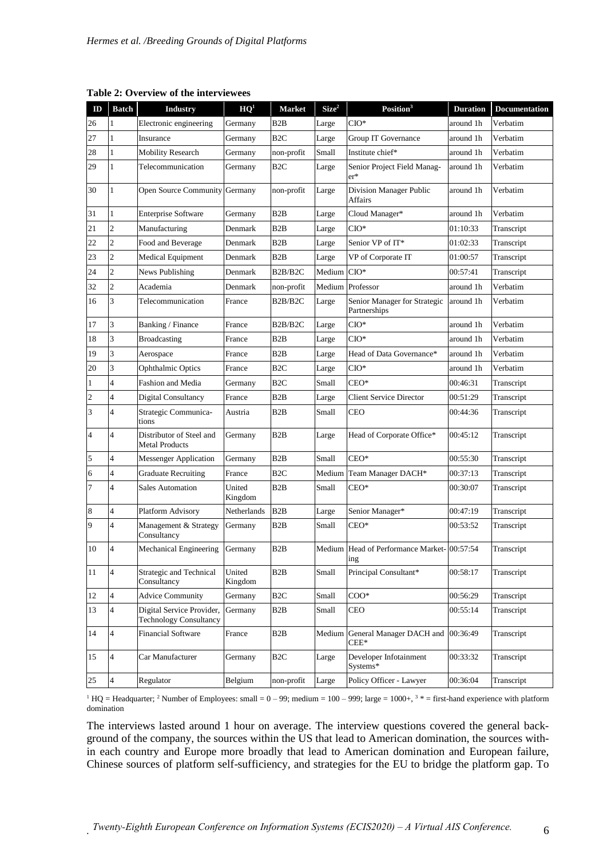| ID             | <b>Batch</b>   | <b>Industry</b>                                            | HQ <sup>1</sup>   | <b>Market</b>                               | Size <sup>2</sup> | Position <sup>3</sup>                              | <b>Duration</b> | <b>Documentation</b> |
|----------------|----------------|------------------------------------------------------------|-------------------|---------------------------------------------|-------------------|----------------------------------------------------|-----------------|----------------------|
| 26             | 1              | Electronic engineering                                     | Germany           | B <sub>2</sub> B                            | Large             | $CIO^*$                                            | around 1h       | Verbatim             |
| 27             | $\mathbf{1}$   | Insurance                                                  | Germany           | B <sub>2</sub> C                            | Large             | <b>Group IT Governance</b>                         | around 1h       | Verbatim             |
| 28             | 1              | <b>Mobility Research</b>                                   | Germany           | non-profit                                  | Small             | Institute chief*                                   | around 1h       | Verbatim             |
| 29             | 1              | Telecommunication                                          | Germany           | B <sub>2</sub> C                            | Large             | Senior Project Field Manag-<br>$er*$               | around 1h       | Verbatim             |
| 30             | $\mathbf{1}$   | Open Source Community                                      | Germany           | non-profit                                  | Large             | Division Manager Public<br>Affairs                 | around 1h       | Verbatim             |
| 31             | 1              | <b>Enterprise Software</b>                                 | Germany           | B <sub>2</sub> B                            | Large             | Cloud Manager*                                     | around 1h       | Verbatim             |
| 21             | $\overline{2}$ | Manufacturing                                              | Denmark           | B2B                                         | Large             | $CIO^*$                                            | 01:10:33        | Transcript           |
| 22             | $\overline{c}$ | Food and Beverage                                          | Denmark           | B <sub>2</sub> B                            | Large             | Senior VP of IT*                                   | 01:02:33        | Transcript           |
| 23             | $\overline{c}$ | Medical Equipment                                          | Denmark           | B <sub>2</sub> B                            | Large             | VP of Corporate IT                                 | 01:00:57        | Transcript           |
| 24             | $\overline{2}$ | News Publishing                                            | Denmark           | B <sub>2</sub> B <sub>/B<sub>2</sub>C</sub> | Medium            | $CIO^*$                                            | 00:57:41        | Transcript           |
| 32             | $\overline{2}$ | Academia                                                   | Denmark           | non-profit                                  |                   | Medium Professor                                   | around 1h       | Verbatim             |
| 16             | $\overline{3}$ | Telecommunication                                          | France            | B2B/B2C                                     | Large             | Senior Manager for Strategic<br>Partnerships       | around 1h       | Verbatim             |
| 17             | $\overline{3}$ | Banking / Finance                                          | France            | B <sub>2</sub> B <sub>/B<sub>2</sub>C</sub> | Large             | $CIO^*$                                            | around 1h       | Verbatim             |
| 18             | $\overline{3}$ | <b>Broadcasting</b>                                        | France            | B <sub>2</sub> B                            | Large             | $CIO^*$                                            | around 1h       | Verbatim             |
| 19             | $\overline{3}$ | Aerospace                                                  | France            | B2B                                         | Large             | Head of Data Governance*                           | around 1h       | Verbatim             |
| 20             | 3              | <b>Ophthalmic Optics</b>                                   | France            | B <sub>2</sub> C                            | Large             | $CIO^*$                                            | around 1h       | Verbatim             |
| 1              | $\overline{4}$ | <b>Fashion and Media</b>                                   | Germany           | B <sub>2C</sub>                             | Small             | $CEO*$                                             | 00:46:31        | Transcript           |
| $\overline{c}$ | 4              | Digital Consultancy                                        | France            | B <sub>2</sub> B                            | Large             | Client Service Director                            | 00:51:29        | Transcript           |
| 3              | $\overline{4}$ | Strategic Communica-<br>tions                              | Austria           | B2B                                         | Small             | <b>CEO</b>                                         | 00:44:36        | Transcript           |
| 4              | $\overline{4}$ | Distributor of Steel and<br><b>Metal Products</b>          | Germany           | B <sub>2</sub> B                            | Large             | Head of Corporate Office*                          | 00:45:12        | Transcript           |
| 5              | 4              | <b>Messenger Application</b>                               | Germany           | B <sub>2</sub> B                            | Small             | $CEO*$                                             | 00:55:30        | Transcript           |
| 6              | $\overline{4}$ | <b>Graduate Recruiting</b>                                 | France            | B <sub>2</sub> C                            | Medium            | Team Manager DACH*                                 | 00:37:13        | Transcript           |
| $\overline{7}$ | $\overline{4}$ | <b>Sales Automation</b>                                    | United<br>Kingdom | B <sub>2</sub> B                            | Small             | $CEO*$                                             | 00:30:07        | Transcript           |
| 8              | $\overline{4}$ | Platform Advisory                                          | Netherlands       | B <sub>2</sub> B                            | Large             | Senior Manager*                                    | 00:47:19        | Transcript           |
| 9              | $\overline{4}$ | Management & Strategy<br>Consultancy                       | Germany           | B <sub>2</sub> B                            | Small             | $CEO*$                                             | 00:53:52        | Transcript           |
| 10             | $\overline{4}$ | <b>Mechanical Engineering</b>                              | Germany           | B2B                                         |                   | Medium Head of Performance Market-100:57:54<br>ing |                 | Transcript           |
| 11             | $\overline{4}$ | Strategic and Technical<br>Consultancy                     | United<br>Kingdom | B2B                                         | Small             | Principal Consultant*                              | 00:58:17        | Transcript           |
| 12             | $\overline{4}$ | <b>Advice Community</b>                                    | Germany           | B <sub>2C</sub>                             | Small             | $COO*$                                             | 00:56:29        | Transcript           |
| 13             | $\overline{4}$ | Digital Service Provider,<br><b>Technology Consultancy</b> | Germany           | B2B                                         | Small             | CEO                                                | 00:55:14        | Transcript           |
| 14             | $\overline{4}$ | <b>Financial Software</b>                                  | France            | B2B                                         | Medium            | General Manager DACH and<br>$CEE*$                 | 00:36:49        | Transcript           |
| 15             | $\overline{4}$ | Car Manufacturer                                           | Germany           | B <sub>2C</sub>                             | Large             | Developer Infotainment<br>Systems*                 | 00:33:32        | Transcript           |
| 25             | $\overline{4}$ | Regulator                                                  | Belgium           | non-profit                                  | Large             | Policy Officer - Lawyer                            | 00:36:04        | Transcript           |

**Table 2: Overview of the interviewees**

 $1 HQ =$  Headquarter; <sup>2</sup> Number of Employees: small =  $0 - 99$ ; medium =  $100 - 999$ ; large =  $1000 +$ ,  $3 *$  = first-hand experience with platform domination

The interviews lasted around 1 hour on average. The interview questions covered the general background of the company, the sources within the US that lead to American domination, the sources within each country and Europe more broadly that lead to American domination and European failure, Chinese sources of platform self-sufficiency, and strategies for the EU to bridge the platform gap. To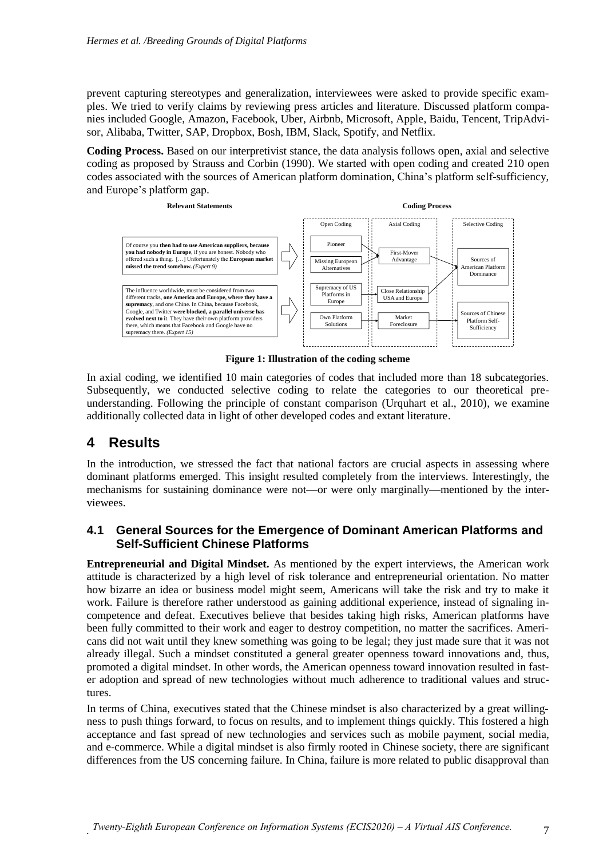prevent capturing stereotypes and generalization, interviewees were asked to provide specific examples. We tried to verify claims by reviewing press articles and literature. Discussed platform companies included Google, Amazon, Facebook, Uber, Airbnb, Microsoft, Apple, Baidu, Tencent, TripAdvisor, Alibaba, Twitter, SAP, Dropbox, Bosh, IBM, Slack, Spotify, and Netflix.

**Coding Process.** Based on our interpretivist stance, the data analysis follows open, axial and selective coding as proposed by Strauss and Corbin (1990). We started with open coding and created 210 open codes associated with the sources of American platform domination, China's platform self-sufficiency, and Europe's platform gap.



**Figure 1: Illustration of the coding scheme**

In axial coding, we identified 10 main categories of codes that included more than 18 subcategories. Subsequently, we conducted selective coding to relate the categories to our theoretical preunderstanding. Following the principle of constant comparison (Urquhart et al., 2010), we examine additionally collected data in light of other developed codes and extant literature.

# **4 Results**

In the introduction, we stressed the fact that national factors are crucial aspects in assessing where dominant platforms emerged. This insight resulted completely from the interviews. Interestingly, the mechanisms for sustaining dominance were not—or were only marginally—mentioned by the interviewees.

#### **4.1 General Sources for the Emergence of Dominant American Platforms and Self-Sufficient Chinese Platforms**

**Entrepreneurial and Digital Mindset.** As mentioned by the expert interviews, the American work attitude is characterized by a high level of risk tolerance and entrepreneurial orientation. No matter how bizarre an idea or business model might seem, Americans will take the risk and try to make it work. Failure is therefore rather understood as gaining additional experience, instead of signaling incompetence and defeat. Executives believe that besides taking high risks, American platforms have been fully committed to their work and eager to destroy competition, no matter the sacrifices. Americans did not wait until they knew something was going to be legal; they just made sure that it was not already illegal. Such a mindset constituted a general greater openness toward innovations and, thus, promoted a digital mindset. In other words, the American openness toward innovation resulted in faster adoption and spread of new technologies without much adherence to traditional values and structures.

In terms of China, executives stated that the Chinese mindset is also characterized by a great willingness to push things forward, to focus on results, and to implement things quickly. This fostered a high acceptance and fast spread of new technologies and services such as mobile payment, social media, and e-commerce. While a digital mindset is also firmly rooted in Chinese society, there are significant differences from the US concerning failure. In China, failure is more related to public disapproval than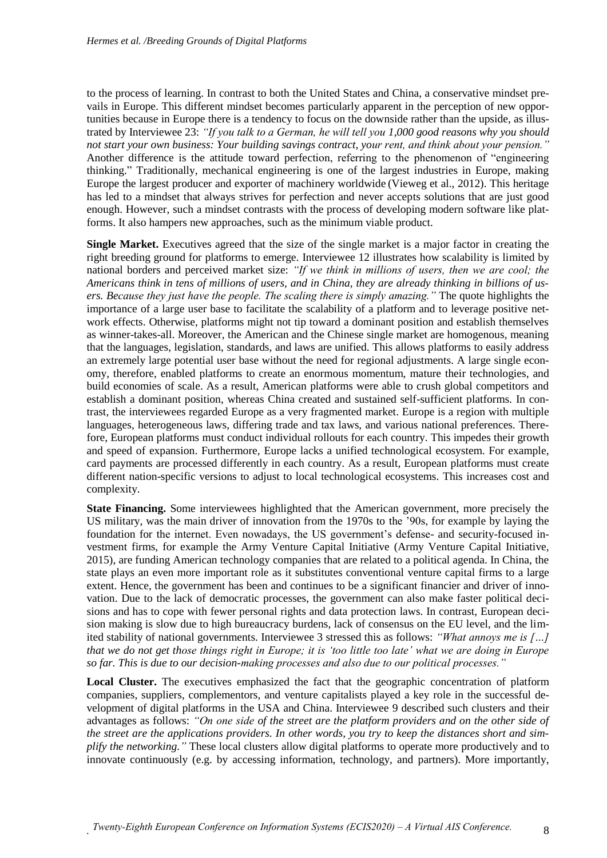to the process of learning. In contrast to both the United States and China, a conservative mindset prevails in Europe. This different mindset becomes particularly apparent in the perception of new opportunities because in Europe there is a tendency to focus on the downside rather than the upside, as illustrated by Interviewee 23: *"If you talk to a German, he will tell you 1,000 good reasons why you should not start your own business: Your building savings contract, your rent, and think about your pension."* Another difference is the attitude toward perfection, referring to the phenomenon of "engineering thinking." Traditionally, mechanical engineering is one of the largest industries in Europe, making Europe the largest producer and exporter of machinery worldwide (Vieweg et al., 2012). This heritage has led to a mindset that always strives for perfection and never accepts solutions that are just good enough. However, such a mindset contrasts with the process of developing modern software like platforms. It also hampers new approaches, such as the minimum viable product.

**Single Market.** Executives agreed that the size of the single market is a major factor in creating the right breeding ground for platforms to emerge. Interviewee 12 illustrates how scalability is limited by national borders and perceived market size: *"If we think in millions of users, then we are cool; the Americans think in tens of millions of users, and in China, they are already thinking in billions of users. Because they just have the people. The scaling there is simply amazing."* The quote highlights the importance of a large user base to facilitate the scalability of a platform and to leverage positive network effects. Otherwise, platforms might not tip toward a dominant position and establish themselves as winner-takes-all. Moreover, the American and the Chinese single market are homogenous, meaning that the languages, legislation, standards, and laws are unified. This allows platforms to easily address an extremely large potential user base without the need for regional adjustments. A large single economy, therefore, enabled platforms to create an enormous momentum, mature their technologies, and build economies of scale. As a result, American platforms were able to crush global competitors and establish a dominant position, whereas China created and sustained self-sufficient platforms. In contrast, the interviewees regarded Europe as a very fragmented market. Europe is a region with multiple languages, heterogeneous laws, differing trade and tax laws, and various national preferences. Therefore, European platforms must conduct individual rollouts for each country. This impedes their growth and speed of expansion. Furthermore, Europe lacks a unified technological ecosystem. For example, card payments are processed differently in each country. As a result, European platforms must create different nation-specific versions to adjust to local technological ecosystems. This increases cost and complexity.

**State Financing.** Some interviewees highlighted that the American government, more precisely the US military, was the main driver of innovation from the 1970s to the '90s, for example by laying the foundation for the internet. Even nowadays, the US government's defense- and security-focused investment firms, for example the Army Venture Capital Initiative (Army Venture Capital Initiative, 2015), are funding American technology companies that are related to a political agenda. In China, the state plays an even more important role as it substitutes conventional venture capital firms to a large extent. Hence, the government has been and continues to be a significant financier and driver of innovation. Due to the lack of democratic processes, the government can also make faster political decisions and has to cope with fewer personal rights and data protection laws. In contrast, European decision making is slow due to high bureaucracy burdens, lack of consensus on the EU level, and the limited stability of national governments. Interviewee 3 stressed this as follows: *"What annoys me is […] that we do not get those things right in Europe; it is 'too little too late' what we are doing in Europe so far. This is due to our decision-making processes and also due to our political processes."*

**Local Cluster.** The executives emphasized the fact that the geographic concentration of platform companies, suppliers, complementors, and venture capitalists played a key role in the successful development of digital platforms in the USA and China. Interviewee 9 described such clusters and their advantages as follows: *"On one side of the street are the platform providers and on the other side of the street are the applications providers. In other words, you try to keep the distances short and simplify the networking."* These local clusters allow digital platforms to operate more productively and to innovate continuously (e.g. by accessing information, technology, and partners). More importantly,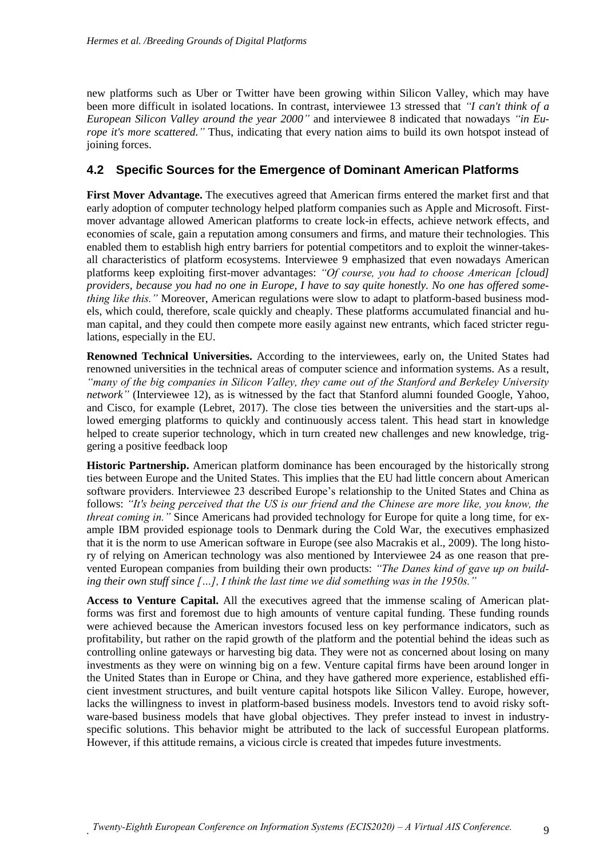new platforms such as Uber or Twitter have been growing within Silicon Valley, which may have been more difficult in isolated locations. In contrast, interviewee 13 stressed that *"I can't think of a European Silicon Valley around the year 2000"* and interviewee 8 indicated that nowadays *"in Europe it's more scattered."* Thus, indicating that every nation aims to build its own hotspot instead of joining forces.

#### **4.2 Specific Sources for the Emergence of Dominant American Platforms**

First Mover Advantage. The executives agreed that American firms entered the market first and that early adoption of computer technology helped platform companies such as Apple and Microsoft. Firstmover advantage allowed American platforms to create lock-in effects, achieve network effects, and economies of scale, gain a reputation among consumers and firms, and mature their technologies. This enabled them to establish high entry barriers for potential competitors and to exploit the winner-takesall characteristics of platform ecosystems. Interviewee 9 emphasized that even nowadays American platforms keep exploiting first-mover advantages: *"Of course, you had to choose American [cloud] providers, because you had no one in Europe, I have to say quite honestly. No one has offered something like this.*" Moreover, American regulations were slow to adapt to platform-based business models, which could, therefore, scale quickly and cheaply. These platforms accumulated financial and human capital, and they could then compete more easily against new entrants, which faced stricter regulations, especially in the EU.

**Renowned Technical Universities.** According to the interviewees, early on, the United States had renowned universities in the technical areas of computer science and information systems. As a result, *"many of the big companies in Silicon Valley, they came out of the Stanford and Berkeley University network"* (Interviewee 12), as is witnessed by the fact that Stanford alumni founded Google, Yahoo, and Cisco, for example (Lebret, 2017). The close ties between the universities and the start-ups allowed emerging platforms to quickly and continuously access talent. This head start in knowledge helped to create superior technology, which in turn created new challenges and new knowledge, triggering a positive feedback loop

**Historic Partnership.** American platform dominance has been encouraged by the historically strong ties between Europe and the United States. This implies that the EU had little concern about American software providers. Interviewee 23 described Europe's relationship to the United States and China as follows: *"It's being perceived that the US is our friend and the Chinese are more like, you know, the threat coming in."* Since Americans had provided technology for Europe for quite a long time, for example IBM provided espionage tools to Denmark during the Cold War, the executives emphasized that it is the norm to use American software in Europe (see also Macrakis et al., 2009). The long history of relying on American technology was also mentioned by Interviewee 24 as one reason that prevented European companies from building their own products: *"The Danes kind of gave up on building their own stuff since […], I think the last time we did something was in the 1950s."*

**Access to Venture Capital.** All the executives agreed that the immense scaling of American platforms was first and foremost due to high amounts of venture capital funding. These funding rounds were achieved because the American investors focused less on key performance indicators, such as profitability, but rather on the rapid growth of the platform and the potential behind the ideas such as controlling online gateways or harvesting big data. They were not as concerned about losing on many investments as they were on winning big on a few. Venture capital firms have been around longer in the United States than in Europe or China, and they have gathered more experience, established efficient investment structures, and built venture capital hotspots like Silicon Valley. Europe, however, lacks the willingness to invest in platform-based business models. Investors tend to avoid risky software-based business models that have global objectives. They prefer instead to invest in industryspecific solutions. This behavior might be attributed to the lack of successful European platforms. However, if this attitude remains, a vicious circle is created that impedes future investments.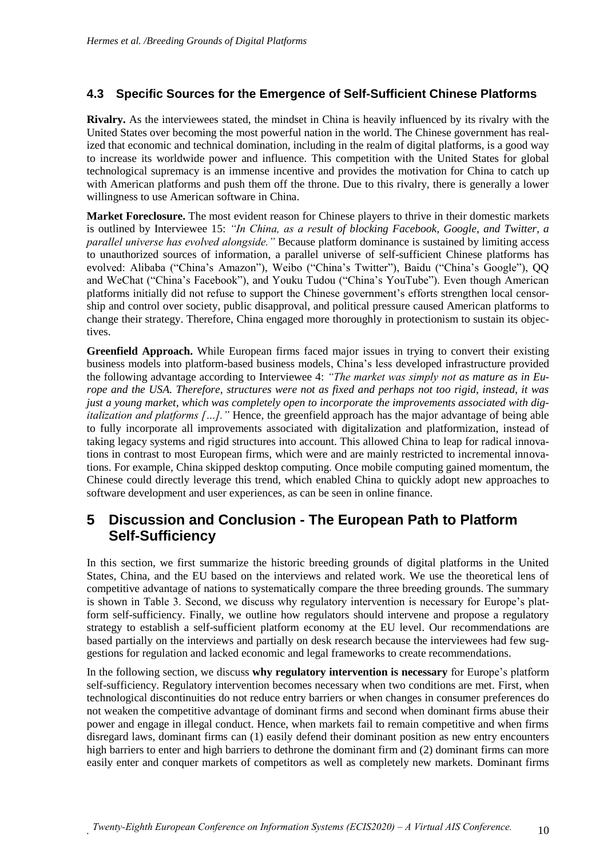#### **4.3 Specific Sources for the Emergence of Self-Sufficient Chinese Platforms**

**Rivalry.** As the interviewees stated, the mindset in China is heavily influenced by its rivalry with the United States over becoming the most powerful nation in the world. The Chinese government has realized that economic and technical domination, including in the realm of digital platforms, is a good way to increase its worldwide power and influence. This competition with the United States for global technological supremacy is an immense incentive and provides the motivation for China to catch up with American platforms and push them off the throne. Due to this rivalry, there is generally a lower willingness to use American software in China.

**Market Foreclosure.** The most evident reason for Chinese players to thrive in their domestic markets is outlined by Interviewee 15: *"In China, as a result of blocking Facebook, Google, and Twitter, a parallel universe has evolved alongside."* Because platform dominance is sustained by limiting access to unauthorized sources of information, a parallel universe of self-sufficient Chinese platforms has evolved: Alibaba ("China's Amazon"), Weibo ("China's Twitter"), Baidu ("China's Google"), QQ and WeChat ("China's Facebook"), and Youku Tudou ("China's YouTube"). Even though American platforms initially did not refuse to support the Chinese government's efforts strengthen local censorship and control over society, public disapproval, and political pressure caused American platforms to change their strategy. Therefore, China engaged more thoroughly in protectionism to sustain its objectives.

**Greenfield Approach.** While European firms faced major issues in trying to convert their existing business models into platform-based business models, China's less developed infrastructure provided the following advantage according to Interviewee 4: *"The market was simply not as mature as in Europe and the USA. Therefore, structures were not as fixed and perhaps not too rigid, instead, it was just a young market, which was completely open to incorporate the improvements associated with digitalization and platforms […].*" Hence, the greenfield approach has the major advantage of being able to fully incorporate all improvements associated with digitalization and platformization, instead of taking legacy systems and rigid structures into account. This allowed China to leap for radical innovations in contrast to most European firms, which were and are mainly restricted to incremental innovations. For example, China skipped desktop computing. Once mobile computing gained momentum, the Chinese could directly leverage this trend, which enabled China to quickly adopt new approaches to software development and user experiences, as can be seen in online finance.

## **5 Discussion and Conclusion - The European Path to Platform Self-Sufficiency**

In this section, we first summarize the historic breeding grounds of digital platforms in the United States, China, and the EU based on the interviews and related work. We use the theoretical lens of competitive advantage of nations to systematically compare the three breeding grounds. The summary is shown in Table 3. Second, we discuss why regulatory intervention is necessary for Europe's platform self-sufficiency. Finally, we outline how regulators should intervene and propose a regulatory strategy to establish a self-sufficient platform economy at the EU level. Our recommendations are based partially on the interviews and partially on desk research because the interviewees had few suggestions for regulation and lacked economic and legal frameworks to create recommendations.

In the following section, we discuss **why regulatory intervention is necessary** for Europe's platform self-sufficiency. Regulatory intervention becomes necessary when two conditions are met. First, when technological discontinuities do not reduce entry barriers or when changes in consumer preferences do not weaken the competitive advantage of dominant firms and second when dominant firms abuse their power and engage in illegal conduct. Hence, when markets fail to remain competitive and when firms disregard laws, dominant firms can (1) easily defend their dominant position as new entry encounters high barriers to enter and high barriers to dethrone the dominant firm and (2) dominant firms can more easily enter and conquer markets of competitors as well as completely new markets. Dominant firms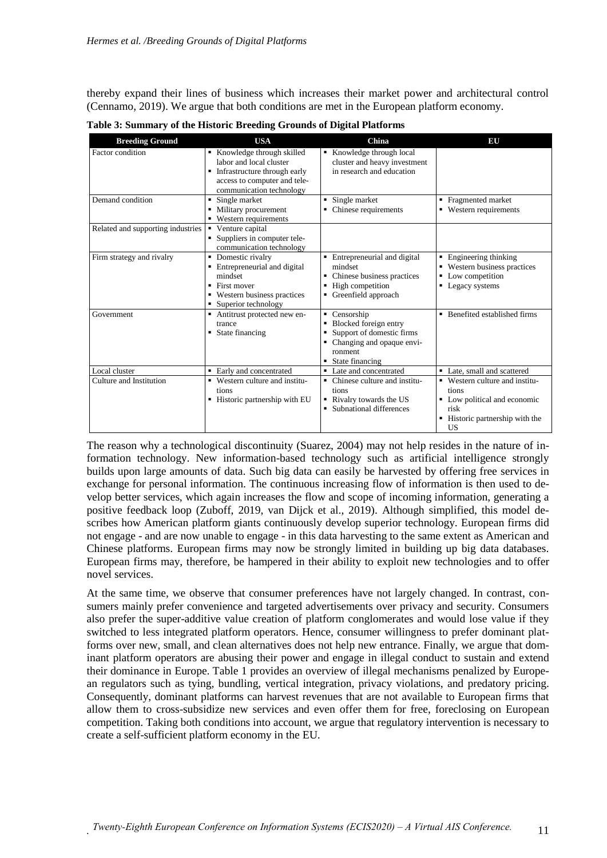thereby expand their lines of business which increases their market power and architectural control (Cennamo, 2019). We argue that both conditions are met in the European platform economy.

| <b>Breeding Ground</b>            | <b>USA</b>                                                                                                                                            | China                                                                                                                                    | EU                                                                                                                              |
|-----------------------------------|-------------------------------------------------------------------------------------------------------------------------------------------------------|------------------------------------------------------------------------------------------------------------------------------------------|---------------------------------------------------------------------------------------------------------------------------------|
| Factor condition                  | Knowledge through skilled<br>labor and local cluster<br>Infrastructure through early<br>٠<br>access to computer and tele-<br>communication technology | Knowledge through local<br>cluster and heavy investment<br>in research and education                                                     |                                                                                                                                 |
| Demand condition                  | $\blacksquare$ Single market<br>Military procurement<br>٠<br>• Western requirements                                                                   | $\blacksquare$ Single market<br>• Chinese requirements                                                                                   | • Fragmented market<br>• Western requirements                                                                                   |
| Related and supporting industries | Venture capital<br>٠<br>Suppliers in computer tele-<br>communication technology                                                                       |                                                                                                                                          |                                                                                                                                 |
| Firm strategy and rivalry         | Domestic rivalry<br>٠<br>Entrepreneurial and digital<br>٠<br>mindset<br>First mover<br>٠<br>• Western business practices<br>Superior technology<br>٠  | • Entrepreneurial and digital<br>mindset<br>Chinese business practices<br>High competition<br>٠<br>Greenfield approach                   | • Engineering thinking<br>• Western business practices<br>Low competition<br>٠<br>Legacy systems<br>٠                           |
| Government                        | • Antitrust protected new en-<br>trance<br>State financing<br>٠                                                                                       | • Censorship<br>Blocked foreign entry<br>٠<br>• Support of domestic firms<br>• Changing and opaque envi-<br>ronment<br>• State financing | • Benefited established firms                                                                                                   |
| Local cluster                     | • Early and concentrated                                                                                                                              | • Late and concentrated                                                                                                                  | • Late, small and scattered                                                                                                     |
| Culture and Institution           | • Western culture and institu-<br>tions<br>Historic partnership with EU<br>٠                                                                          | Chinese culture and institu-<br>٠<br>tions<br>Rivalry towards the US<br>• Subnational differences                                        | • Western culture and institu-<br>tions<br>• Low political and economic<br>risk<br>■ Historic partnership with the<br><b>US</b> |

**Table 3: Summary of the Historic Breeding Grounds of Digital Platforms**

The reason why a technological discontinuity (Suarez, 2004) may not help resides in the nature of information technology. New information-based technology such as artificial intelligence strongly builds upon large amounts of data. Such big data can easily be harvested by offering free services in exchange for personal information. The continuous increasing flow of information is then used to develop better services, which again increases the flow and scope of incoming information, generating a positive feedback loop (Zuboff, 2019, van Dijck et al., 2019). Although simplified, this model describes how American platform giants continuously develop superior technology. European firms did not engage - and are now unable to engage - in this data harvesting to the same extent as American and Chinese platforms. European firms may now be strongly limited in building up big data databases. European firms may, therefore, be hampered in their ability to exploit new technologies and to offer novel services.

At the same time, we observe that consumer preferences have not largely changed. In contrast, consumers mainly prefer convenience and targeted advertisements over privacy and security. Consumers also prefer the super-additive value creation of platform conglomerates and would lose value if they switched to less integrated platform operators. Hence, consumer willingness to prefer dominant platforms over new, small, and clean alternatives does not help new entrance. Finally, we argue that dominant platform operators are abusing their power and engage in illegal conduct to sustain and extend their dominance in Europe. Table 1 provides an overview of illegal mechanisms penalized by European regulators such as tying, bundling, vertical integration, privacy violations, and predatory pricing. Consequently, dominant platforms can harvest revenues that are not available to European firms that allow them to cross-subsidize new services and even offer them for free, foreclosing on European competition. Taking both conditions into account, we argue that regulatory intervention is necessary to create a self-sufficient platform economy in the EU.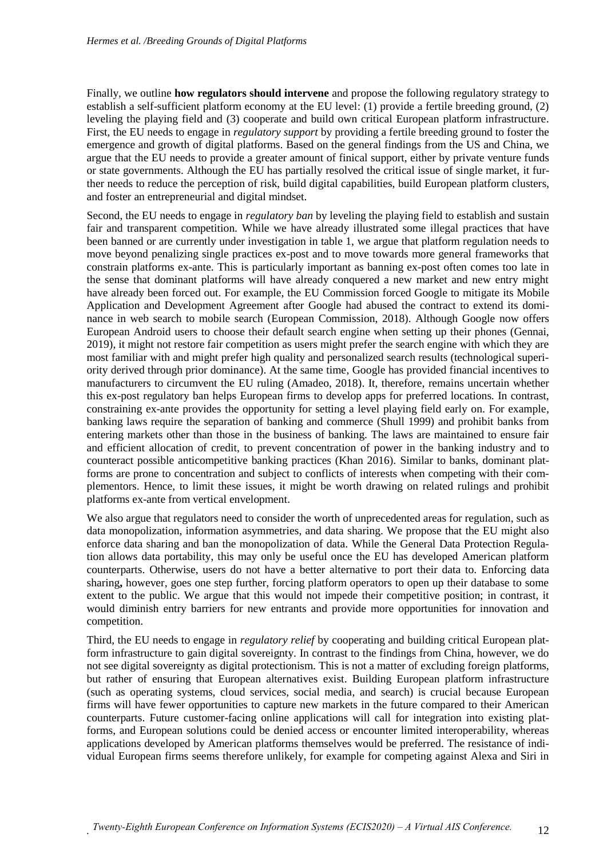Finally, we outline **how regulators should intervene** and propose the following regulatory strategy to establish a self-sufficient platform economy at the EU level: (1) provide a fertile breeding ground, (2) leveling the playing field and (3) cooperate and build own critical European platform infrastructure. First, the EU needs to engage in *regulatory support* by providing a fertile breeding ground to foster the emergence and growth of digital platforms. Based on the general findings from the US and China, we argue that the EU needs to provide a greater amount of finical support, either by private venture funds or state governments. Although the EU has partially resolved the critical issue of single market, it further needs to reduce the perception of risk, build digital capabilities, build European platform clusters, and foster an entrepreneurial and digital mindset.

Second, the EU needs to engage in *regulatory ban* by leveling the playing field to establish and sustain fair and transparent competition. While we have already illustrated some illegal practices that have been banned or are currently under investigation in table 1, we argue that platform regulation needs to move beyond penalizing single practices ex-post and to move towards more general frameworks that constrain platforms ex-ante. This is particularly important as banning ex-post often comes too late in the sense that dominant platforms will have already conquered a new market and new entry might have already been forced out. For example, the EU Commission forced Google to mitigate its Mobile Application and Development Agreement after Google had abused the contract to extend its dominance in web search to mobile search (European Commission, 2018). Although Google now offers European Android users to choose their default search engine when setting up their phones (Gennai, 2019), it might not restore fair competition as users might prefer the search engine with which they are most familiar with and might prefer high quality and personalized search results (technological superiority derived through prior dominance). At the same time, Google has provided financial incentives to manufacturers to circumvent the EU ruling (Amadeo, 2018). It, therefore, remains uncertain whether this ex-post regulatory ban helps European firms to develop apps for preferred locations. In contrast, constraining ex-ante provides the opportunity for setting a level playing field early on. For example, banking laws require the separation of banking and commerce (Shull 1999) and prohibit banks from entering markets other than those in the business of banking. The laws are maintained to ensure fair and efficient allocation of credit, to prevent concentration of power in the banking industry and to counteract possible anticompetitive banking practices (Khan 2016). Similar to banks, dominant platforms are prone to concentration and subject to conflicts of interests when competing with their complementors. Hence, to limit these issues, it might be worth drawing on related rulings and prohibit platforms ex-ante from vertical envelopment.

We also argue that regulators need to consider the worth of unprecedented areas for regulation, such as data monopolization, information asymmetries, and data sharing. We propose that the EU might also enforce data sharing and ban the monopolization of data. While the General Data Protection Regulation allows data portability, this may only be useful once the EU has developed American platform counterparts. Otherwise, users do not have a better alternative to port their data to. Enforcing data sharing**,** however, goes one step further, forcing platform operators to open up their database to some extent to the public. We argue that this would not impede their competitive position; in contrast, it would diminish entry barriers for new entrants and provide more opportunities for innovation and competition.

Third, the EU needs to engage in *regulatory relief* by cooperating and building critical European platform infrastructure to gain digital sovereignty. In contrast to the findings from China, however, we do not see digital sovereignty as digital protectionism. This is not a matter of excluding foreign platforms, but rather of ensuring that European alternatives exist. Building European platform infrastructure (such as operating systems, cloud services, social media, and search) is crucial because European firms will have fewer opportunities to capture new markets in the future compared to their American counterparts. Future customer-facing online applications will call for integration into existing platforms, and European solutions could be denied access or encounter limited interoperability, whereas applications developed by American platforms themselves would be preferred. The resistance of individual European firms seems therefore unlikely, for example for competing against Alexa and Siri in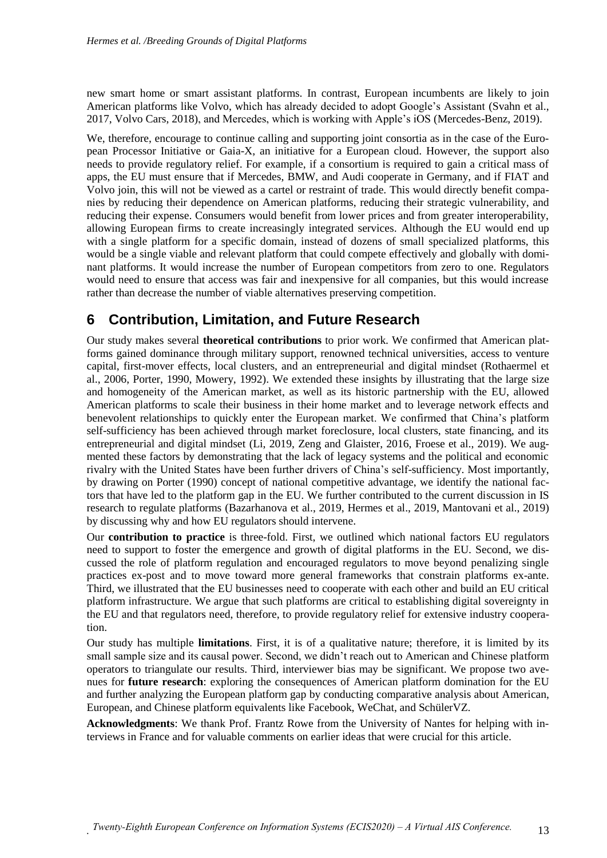new smart home or smart assistant platforms. In contrast, European incumbents are likely to join American platforms like Volvo, which has already decided to adopt Google's Assistant (Svahn et al., 2017, Volvo Cars, 2018), and Mercedes, which is working with Apple's iOS (Mercedes-Benz, 2019).

We, therefore, encourage to continue calling and supporting joint consortia as in the case of the European Processor Initiative or Gaia-X, an initiative for a European cloud. However, the support also needs to provide regulatory relief. For example, if a consortium is required to gain a critical mass of apps, the EU must ensure that if Mercedes, BMW, and Audi cooperate in Germany, and if FIAT and Volvo join, this will not be viewed as a cartel or restraint of trade. This would directly benefit companies by reducing their dependence on American platforms, reducing their strategic vulnerability, and reducing their expense. Consumers would benefit from lower prices and from greater interoperability, allowing European firms to create increasingly integrated services. Although the EU would end up with a single platform for a specific domain, instead of dozens of small specialized platforms, this would be a single viable and relevant platform that could compete effectively and globally with dominant platforms. It would increase the number of European competitors from zero to one. Regulators would need to ensure that access was fair and inexpensive for all companies, but this would increase rather than decrease the number of viable alternatives preserving competition.

# **6 Contribution, Limitation, and Future Research**

Our study makes several **theoretical contributions** to prior work. We confirmed that American platforms gained dominance through military support, renowned technical universities, access to venture capital, first-mover effects, local clusters, and an entrepreneurial and digital mindset (Rothaermel et al., 2006, Porter, 1990, Mowery, 1992). We extended these insights by illustrating that the large size and homogeneity of the American market, as well as its historic partnership with the EU, allowed American platforms to scale their business in their home market and to leverage network effects and benevolent relationships to quickly enter the European market. We confirmed that China's platform self-sufficiency has been achieved through market foreclosure, local clusters, state financing, and its entrepreneurial and digital mindset (Li, 2019, Zeng and Glaister, 2016, Froese et al., 2019). We augmented these factors by demonstrating that the lack of legacy systems and the political and economic rivalry with the United States have been further drivers of China's self-sufficiency. Most importantly, by drawing on Porter (1990) concept of national competitive advantage, we identify the national factors that have led to the platform gap in the EU. We further contributed to the current discussion in IS research to regulate platforms (Bazarhanova et al., 2019, Hermes et al., 2019, Mantovani et al., 2019) by discussing why and how EU regulators should intervene.

Our **contribution to practice** is three-fold. First, we outlined which national factors EU regulators need to support to foster the emergence and growth of digital platforms in the EU. Second, we discussed the role of platform regulation and encouraged regulators to move beyond penalizing single practices ex-post and to move toward more general frameworks that constrain platforms ex-ante. Third, we illustrated that the EU businesses need to cooperate with each other and build an EU critical platform infrastructure. We argue that such platforms are critical to establishing digital sovereignty in the EU and that regulators need, therefore, to provide regulatory relief for extensive industry cooperation.

Our study has multiple **limitations**. First, it is of a qualitative nature; therefore, it is limited by its small sample size and its causal power. Second, we didn't reach out to American and Chinese platform operators to triangulate our results. Third, interviewer bias may be significant. We propose two avenues for **future research**: exploring the consequences of American platform domination for the EU and further analyzing the European platform gap by conducting comparative analysis about American, European, and Chinese platform equivalents like Facebook, WeChat, and SchülerVZ.

**Acknowledgments**: We thank Prof. Frantz Rowe from the University of Nantes for helping with interviews in France and for valuable comments on earlier ideas that were crucial for this article.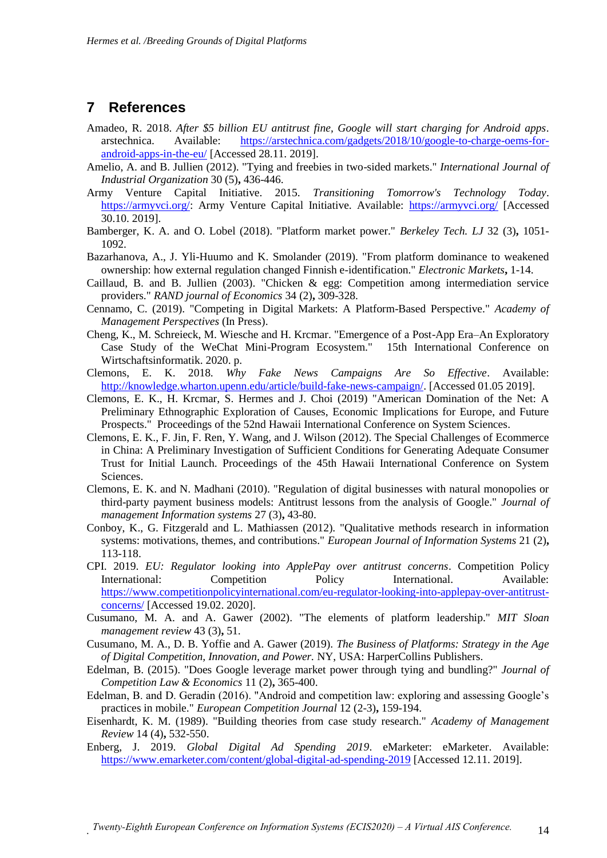#### **7 References**

- Amadeo, R. 2018. *After \$5 billion EU antitrust fine, Google will start charging for Android apps*. arstechnica. Available: [https://arstechnica.com/gadgets/2018/10/google-to-charge-oems-for](https://arstechnica.com/gadgets/2018/10/google-to-charge-oems-for-android-apps-in-the-eu/)[android-apps-in-the-eu/](https://arstechnica.com/gadgets/2018/10/google-to-charge-oems-for-android-apps-in-the-eu/) [Accessed 28.11. 2019].
- Amelio, A. and B. Jullien (2012). "Tying and freebies in two-sided markets." *International Journal of Industrial Organization* 30 (5)**,** 436-446.
- Army Venture Capital Initiative. 2015. *Transitioning Tomorrow's Technology Today*. [https://armyvci.org/:](https://armyvci.org/) Army Venture Capital Initiative. Available: <https://armyvci.org/> [Accessed 30.10. 2019].
- Bamberger, K. A. and O. Lobel (2018). "Platform market power." *Berkeley Tech. LJ* 32 (3)**,** 1051- 1092.
- Bazarhanova, A., J. Yli-Huumo and K. Smolander (2019). "From platform dominance to weakened ownership: how external regulation changed Finnish e-identification." *Electronic Markets***,** 1-14.
- Caillaud, B. and B. Jullien (2003). "Chicken & egg: Competition among intermediation service providers." *RAND journal of Economics* 34 (2)**,** 309-328.
- Cennamo, C. (2019). "Competing in Digital Markets: A Platform-Based Perspective." *Academy of Management Perspectives* (In Press).
- Cheng, K., M. Schreieck, M. Wiesche and H. Krcmar. "Emergence of a Post-App Era–An Exploratory Case Study of the WeChat Mini-Program Ecosystem." 15th International Conference on Wirtschaftsinformatik. 2020. p.
- Clemons, E. K. 2018. *Why Fake News Campaigns Are So Effective*. Available: [http://knowledge.wharton.upenn.edu/article/build-fake-news-campaign/.](http://knowledge.wharton.upenn.edu/article/build-fake-news-campaign/) [Accessed 01.05 2019].
- Clemons, E. K., H. Krcmar, S. Hermes and J. Choi (2019) "American Domination of the Net: A Preliminary Ethnographic Exploration of Causes, Economic Implications for Europe, and Future Prospects." Proceedings of the 52nd Hawaii International Conference on System Sciences.
- Clemons, E. K., F. Jin, F. Ren, Y. Wang, and J. Wilson (2012). The Special Challenges of Ecommerce in China: A Preliminary Investigation of Sufficient Conditions for Generating Adequate Consumer Trust for Initial Launch. Proceedings of the 45th Hawaii International Conference on System Sciences.
- Clemons, E. K. and N. Madhani (2010). "Regulation of digital businesses with natural monopolies or third-party payment business models: Antitrust lessons from the analysis of Google." *Journal of management Information systems* 27 (3)**,** 43-80.
- Conboy, K., G. Fitzgerald and L. Mathiassen (2012). "Qualitative methods research in information systems: motivations, themes, and contributions." *European Journal of Information Systems* 21 (2)**,** 113-118.
- CPI. 2019. *EU: Regulator looking into ApplePay over antitrust concerns*. Competition Policy International: Competition Policy International. Available: [https://www.competitionpolicyinternational.com/eu-regulator-looking-into-applepay-over-antitrust](https://www.competitionpolicyinternational.com/eu-regulator-looking-into-applepay-over-antitrust-concerns/)[concerns/](https://www.competitionpolicyinternational.com/eu-regulator-looking-into-applepay-over-antitrust-concerns/) [Accessed 19.02. 2020].
- Cusumano, M. A. and A. Gawer (2002). "The elements of platform leadership." *MIT Sloan management review* 43 (3)**,** 51.
- Cusumano, M. A., D. B. Yoffie and A. Gawer (2019). *The Business of Platforms: Strategy in the Age of Digital Competition, Innovation, and Power.* NY, USA: HarperCollins Publishers.
- Edelman, B. (2015). "Does Google leverage market power through tying and bundling?" *Journal of Competition Law & Economics* 11 (2)**,** 365-400.
- Edelman, B. and D. Geradin (2016). "Android and competition law: exploring and assessing Google's practices in mobile." *European Competition Journal* 12 (2-3)**,** 159-194.
- Eisenhardt, K. M. (1989). "Building theories from case study research." *Academy of Management Review* 14 (4)**,** 532-550.
- Enberg, J. 2019. *Global Digital Ad Spending 2019*. eMarketer: eMarketer. Available: <https://www.emarketer.com/content/global-digital-ad-spending-2019> [Accessed 12.11. 2019].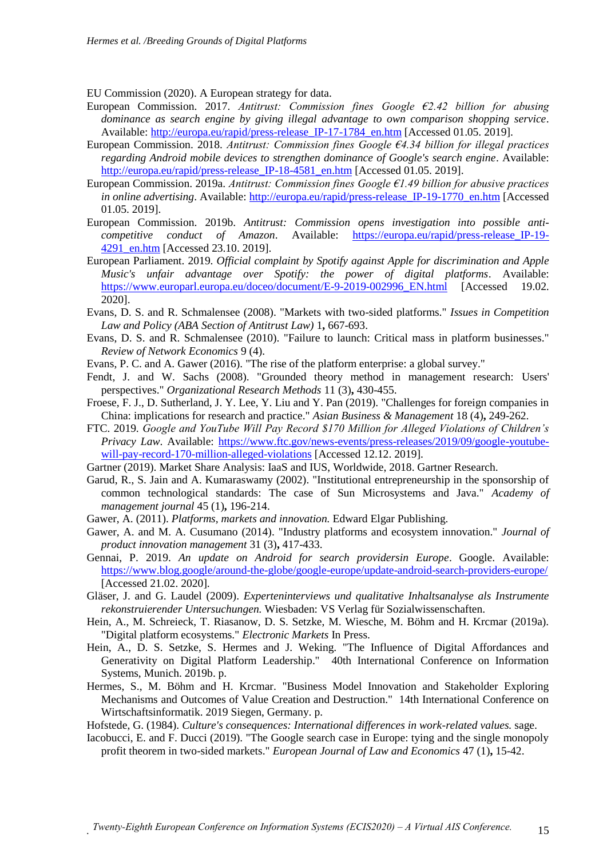EU Commission (2020). A European strategy for data.

- European Commission. 2017. *Antitrust: Commission fines Google €2.42 billion for abusing dominance as search engine by giving illegal advantage to own comparison shopping service*. Available: [http://europa.eu/rapid/press-release\\_IP-17-1784\\_en.htm](http://europa.eu/rapid/press-release_IP-17-1784_en.htm) [Accessed 01.05. 2019].
- European Commission. 2018. *Antitrust: Commission fines Google €4.34 billion for illegal practices regarding Android mobile devices to strengthen dominance of Google's search engine*. Available: http://europa.eu/rapid/press-release IP-18-4581 en.htm [Accessed 01.05. 2019].
- European Commission. 2019a. *Antitrust: Commission fines Google €1.49 billion for abusive practices in online advertising*. Available: http://europa.eu/rapid/press-release IP-19-1770 en.htm [Accessed 01.05. 2019].
- European Commission. 2019b. *Antitrust: Commission opens investigation into possible anticompetitive conduct of Amazon*. Available: [https://europa.eu/rapid/press-release\\_IP-19-](https://europa.eu/rapid/press-release_IP-19-4291_en.htm) [4291\\_en.htm](https://europa.eu/rapid/press-release_IP-19-4291_en.htm) [Accessed 23.10. 2019].
- European Parliament. 2019. *Official complaint by Spotify against Apple for discrimination and Apple Music's unfair advantage over Spotify: the power of digital platforms*. Available: [https://www.europarl.europa.eu/doceo/document/E-9-2019-002996\\_EN.html](https://www.europarl.europa.eu/doceo/document/E-9-2019-002996_EN.html) [Accessed 19.02. 2020].
- Evans, D. S. and R. Schmalensee (2008). "Markets with two-sided platforms." *Issues in Competition Law and Policy (ABA Section of Antitrust Law)* 1**,** 667-693.
- Evans, D. S. and R. Schmalensee (2010). "Failure to launch: Critical mass in platform businesses." *Review of Network Economics* 9 (4).
- Evans, P. C. and A. Gawer (2016). "The rise of the platform enterprise: a global survey."
- Fendt, J. and W. Sachs (2008). "Grounded theory method in management research: Users' perspectives." *Organizational Research Methods* 11 (3)**,** 430-455.
- Froese, F. J., D. Sutherland, J. Y. Lee, Y. Liu and Y. Pan (2019). "Challenges for foreign companies in China: implications for research and practice." *Asian Business & Management* 18 (4)**,** 249-262.
- FTC. 2019. *Google and YouTube Will Pay Record \$170 Million for Alleged Violations of Children's Privacy Law*. Available: [https://www.ftc.gov/news-events/press-releases/2019/09/google-youtube](https://www.ftc.gov/news-events/press-releases/2019/09/google-youtube-will-pay-record-170-million-alleged-violations)[will-pay-record-170-million-alleged-violations](https://www.ftc.gov/news-events/press-releases/2019/09/google-youtube-will-pay-record-170-million-alleged-violations) [Accessed 12.12. 2019].
- Gartner (2019). Market Share Analysis: IaaS and IUS, Worldwide, 2018. Gartner Research.
- Garud, R., S. Jain and A. Kumaraswamy (2002). "Institutional entrepreneurship in the sponsorship of common technological standards: The case of Sun Microsystems and Java." *Academy of management journal* 45 (1)**,** 196-214.
- Gawer, A. (2011). *Platforms, markets and innovation.* Edward Elgar Publishing.
- Gawer, A. and M. A. Cusumano (2014). "Industry platforms and ecosystem innovation." *Journal of product innovation management* 31 (3)**,** 417-433.
- Gennai, P. 2019. *An update on Android for search providersin Europe*. Google. Available: <https://www.blog.google/around-the-globe/google-europe/update-android-search-providers-europe/> [Accessed 21.02. 2020].
- Gläser, J. and G. Laudel (2009). *Experteninterviews und qualitative Inhaltsanalyse als Instrumente rekonstruierender Untersuchungen.* Wiesbaden: VS Verlag für Sozialwissenschaften.
- Hein, A., M. Schreieck, T. Riasanow, D. S. Setzke, M. Wiesche, M. Böhm and H. Krcmar (2019a). "Digital platform ecosystems." *Electronic Markets* In Press.
- Hein, A., D. S. Setzke, S. Hermes and J. Weking. "The Influence of Digital Affordances and Generativity on Digital Platform Leadership." 40th International Conference on Information Systems, Munich. 2019b. p.
- Hermes, S., M. Böhm and H. Krcmar. "Business Model Innovation and Stakeholder Exploring Mechanisms and Outcomes of Value Creation and Destruction." 14th International Conference on Wirtschaftsinformatik. 2019 Siegen, Germany. p.
- Hofstede, G. (1984). *Culture's consequences: International differences in work-related values.* sage.
- Iacobucci, E. and F. Ducci (2019). "The Google search case in Europe: tying and the single monopoly profit theorem in two-sided markets." *European Journal of Law and Economics* 47 (1)**,** 15-42.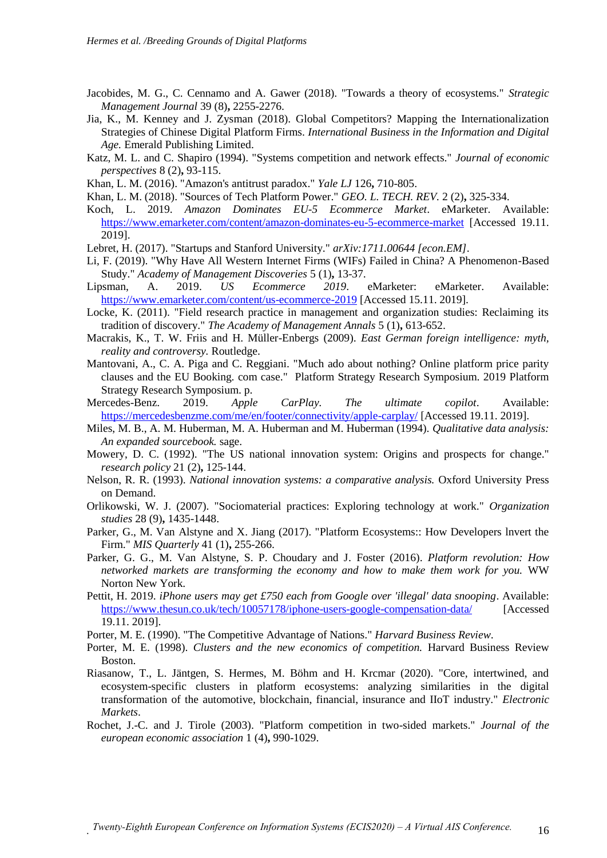- Jacobides, M. G., C. Cennamo and A. Gawer (2018). "Towards a theory of ecosystems." *Strategic Management Journal* 39 (8)**,** 2255-2276.
- Jia, K., M. Kenney and J. Zysman (2018). Global Competitors? Mapping the Internationalization Strategies of Chinese Digital Platform Firms. *International Business in the Information and Digital Age.* Emerald Publishing Limited.
- Katz, M. L. and C. Shapiro (1994). "Systems competition and network effects." *Journal of economic perspectives* 8 (2)**,** 93-115.
- Khan, L. M. (2016). "Amazon's antitrust paradox." *Yale LJ* 126**,** 710-805.
- Khan, L. M. (2018). "Sources of Tech Platform Power." *GEO. L. TECH. REV.* 2 (2)**,** 325-334.
- Koch, L. 2019. *Amazon Dominates EU-5 Ecommerce Market*. eMarketer. Available: <https://www.emarketer.com/content/amazon-dominates-eu-5-ecommerce-market> [Accessed 19.11. 2019].
- Lebret, H. (2017). "Startups and Stanford University." *arXiv:1711.00644 [econ.EM]*.
- Li, F. (2019). "Why Have All Western Internet Firms (WIFs) Failed in China? A Phenomenon-Based Study." *Academy of Management Discoveries* 5 (1)**,** 13-37.
- Lipsman, A. 2019. *US Ecommerce 2019*. eMarketer: eMarketer. Available: <https://www.emarketer.com/content/us-ecommerce-2019> [Accessed 15.11. 2019].
- Locke, K. (2011). "Field research practice in management and organization studies: Reclaiming its tradition of discovery." *The Academy of Management Annals* 5 (1)**,** 613-652.
- Macrakis, K., T. W. Friis and H. Müller-Enbergs (2009). *East German foreign intelligence: myth, reality and controversy.* Routledge.
- Mantovani, A., C. A. Piga and C. Reggiani. "Much ado about nothing? Online platform price parity clauses and the EU Booking. com case." Platform Strategy Research Symposium. 2019 Platform Strategy Research Symposium. p.
- Mercedes-Benz. 2019. *Apple CarPlay. The ultimate copilot*. Available: <https://mercedesbenzme.com/me/en/footer/connectivity/apple-carplay/> [Accessed 19.11. 2019].
- Miles, M. B., A. M. Huberman, M. A. Huberman and M. Huberman (1994). *Qualitative data analysis: An expanded sourcebook.* sage.
- Mowery, D. C. (1992). "The US national innovation system: Origins and prospects for change." *research policy* 21 (2)**,** 125-144.
- Nelson, R. R. (1993). *National innovation systems: a comparative analysis.* Oxford University Press on Demand.
- Orlikowski, W. J. (2007). "Sociomaterial practices: Exploring technology at work." *Organization studies* 28 (9)**,** 1435-1448.
- Parker, G., M. Van Alstyne and X. Jiang (2017). "Platform Ecosystems:: How Developers lnvert the Firm." *MIS Quarterly* 41 (1)**,** 255-266.
- Parker, G. G., M. Van Alstyne, S. P. Choudary and J. Foster (2016). *Platform revolution: How networked markets are transforming the economy and how to make them work for you.* WW Norton New York.
- Pettit, H. 2019. *iPhone users may get £750 each from Google over 'illegal' data snooping*. Available: <https://www.thesun.co.uk/tech/10057178/iphone-users-google-compensation-data/> [Accessed 19.11. 2019].
- Porter, M. E. (1990). "The Competitive Advantage of Nations." *Harvard Business Review*.
- Porter, M. E. (1998). *Clusters and the new economics of competition.* Harvard Business Review Boston.
- Riasanow, T., L. Jäntgen, S. Hermes, M. Böhm and H. Krcmar (2020). "Core, intertwined, and ecosystem-specific clusters in platform ecosystems: analyzing similarities in the digital transformation of the automotive, blockchain, financial, insurance and IIoT industry." *Electronic Markets*.
- Rochet, J.-C. and J. Tirole (2003). "Platform competition in two-sided markets." *Journal of the european economic association* 1 (4)**,** 990-1029.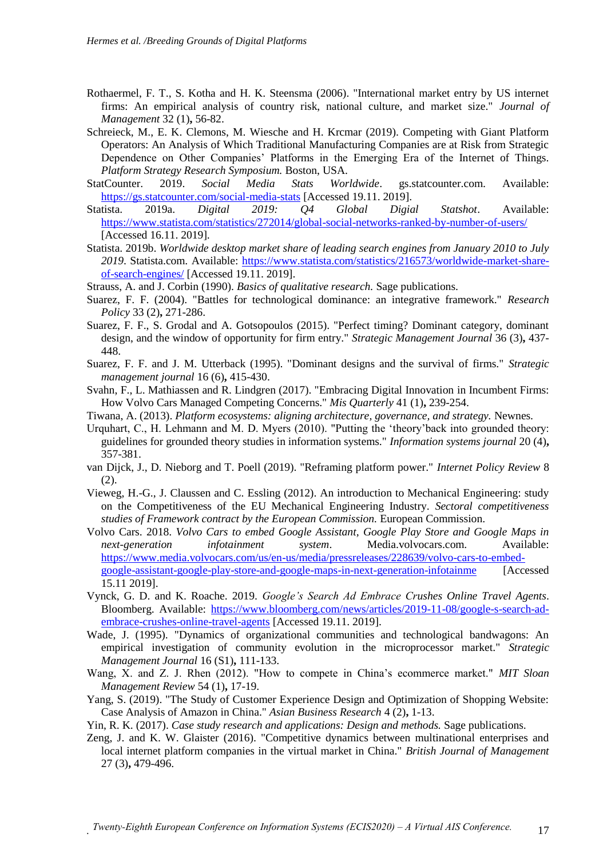- Rothaermel, F. T., S. Kotha and H. K. Steensma (2006). "International market entry by US internet firms: An empirical analysis of country risk, national culture, and market size." *Journal of Management* 32 (1)**,** 56-82.
- Schreieck, M., E. K. Clemons, M. Wiesche and H. Krcmar (2019). Competing with Giant Platform Operators: An Analysis of Which Traditional Manufacturing Companies are at Risk from Strategic Dependence on Other Companies' Platforms in the Emerging Era of the Internet of Things. *Platform Strategy Research Symposium.* Boston, USA.
- StatCounter. 2019. *Social Media Stats Worldwide*. gs.statcounter.com. Available: <https://gs.statcounter.com/social-media-stats> [Accessed 19.11. 2019].
- Statista. 2019a. *Digital 2019: Q4 Global Digial Statshot*. Available: <https://www.statista.com/statistics/272014/global-social-networks-ranked-by-number-of-users/> [Accessed 16.11. 2019].
- Statista. 2019b. *Worldwide desktop market share of leading search engines from January 2010 to July*  2019. Statista.com. Available: [https://www.statista.com/statistics/216573/worldwide-market-share](https://www.statista.com/statistics/216573/worldwide-market-share-of-search-engines/)[of-search-engines/](https://www.statista.com/statistics/216573/worldwide-market-share-of-search-engines/) [Accessed 19.11. 2019].
- Strauss, A. and J. Corbin (1990). *Basics of qualitative research.* Sage publications.
- Suarez, F. F. (2004). "Battles for technological dominance: an integrative framework." *Research Policy* 33 (2)**,** 271-286.
- Suarez, F. F., S. Grodal and A. Gotsopoulos (2015). "Perfect timing? Dominant category, dominant design, and the window of opportunity for firm entry." *Strategic Management Journal* 36 (3)**,** 437- 448.
- Suarez, F. F. and J. M. Utterback (1995). "Dominant designs and the survival of firms." *Strategic management journal* 16 (6)**,** 415-430.
- Svahn, F., L. Mathiassen and R. Lindgren (2017). "Embracing Digital Innovation in Incumbent Firms: How Volvo Cars Managed Competing Concerns." *Mis Quarterly* 41 (1)**,** 239-254.
- Tiwana, A. (2013). *Platform ecosystems: aligning architecture, governance, and strategy.* Newnes.
- Urquhart, C., H. Lehmann and M. D. Myers (2010). "Putting the 'theory'back into grounded theory: guidelines for grounded theory studies in information systems." *Information systems journal* 20 (4)**,** 357-381.
- van Dijck, J., D. Nieborg and T. Poell (2019). "Reframing platform power." *Internet Policy Review* 8 (2).
- Vieweg, H.-G., J. Claussen and C. Essling (2012). An introduction to Mechanical Engineering: study on the Competitiveness of the EU Mechanical Engineering Industry. *Sectoral competitiveness studies of Framework contract by the European Commission.* European Commission.
- Volvo Cars. 2018. *Volvo Cars to embed Google Assistant, Google Play Store and Google Maps in next-generation infotainment system*. Media.volvocars.com. Available: [https://www.media.volvocars.com/us/en-us/media/pressreleases/228639/volvo-cars-to-embed](https://www.media.volvocars.com/us/en-us/media/pressreleases/228639/volvo-cars-to-embed-google-assistant-google-play-store-and-google-maps-in-next-generation-infotainme)[google-assistant-google-play-store-and-google-maps-in-next-generation-infotainme](https://www.media.volvocars.com/us/en-us/media/pressreleases/228639/volvo-cars-to-embed-google-assistant-google-play-store-and-google-maps-in-next-generation-infotainme) [Accessed 15.11 2019].
- Vynck, G. D. and K. Roache. 2019. *Google's Search Ad Embrace Crushes Online Travel Agents*. Bloomberg. Available: [https://www.bloomberg.com/news/articles/2019-11-08/google-s-search-ad](https://www.bloomberg.com/news/articles/2019-11-08/google-s-search-ad-embrace-crushes-online-travel-agents)[embrace-crushes-online-travel-agents](https://www.bloomberg.com/news/articles/2019-11-08/google-s-search-ad-embrace-crushes-online-travel-agents) [Accessed 19.11. 2019].
- Wade, J. (1995). "Dynamics of organizational communities and technological bandwagons: An empirical investigation of community evolution in the microprocessor market." *Strategic Management Journal* 16 (S1)**,** 111-133.
- Wang, X. and Z. J. Rhen (2012). "How to compete in China's ecommerce market." *MIT Sloan Management Review* 54 (1)**,** 17-19.
- Yang, S. (2019). "The Study of Customer Experience Design and Optimization of Shopping Website: Case Analysis of Amazon in China." *Asian Business Research* 4 (2)**,** 1-13.
- Yin, R. K. (2017). *Case study research and applications: Design and methods.* Sage publications.
- Zeng, J. and K. W. Glaister (2016). "Competitive dynamics between multinational enterprises and local internet platform companies in the virtual market in China." *British Journal of Management* 27 (3)**,** 479-496.